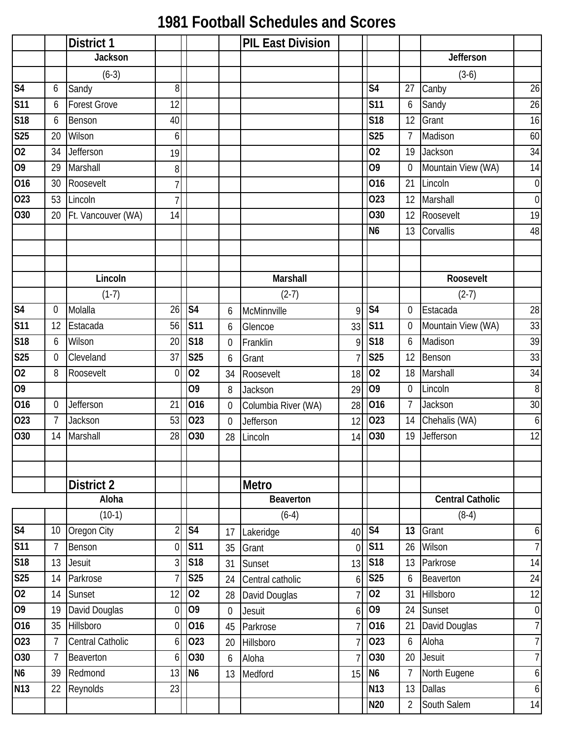## **1981 Football Schedules and Scores**

|                         |                | <b>District 1</b>   |                  |                          |                  | <b>PIL East Division</b> |                |                |                |                         |                  |
|-------------------------|----------------|---------------------|------------------|--------------------------|------------------|--------------------------|----------------|----------------|----------------|-------------------------|------------------|
|                         |                | <b>Jackson</b>      |                  |                          |                  |                          |                |                |                | Jefferson               |                  |
|                         |                | $(6-3)$             |                  |                          |                  |                          |                |                |                | $(3-6)$                 |                  |
| S <sub>4</sub>          | 6              | Sandy               | 8 <sup>°</sup>   |                          |                  |                          |                | S <sub>4</sub> | 27             | Canby                   | 26               |
| $\overline{\text{S11}}$ | 6              | <b>Forest Grove</b> | 12               |                          |                  |                          |                | <b>S11</b>     | 6              | Sandy                   | 26               |
| S18                     | 6              | Benson              | 40               |                          |                  |                          |                | <b>S18</b>     | 12             | Grant                   | 16               |
| S <sub>25</sub>         | 20             | Wilson              | 6                |                          |                  |                          |                | <b>S25</b>     | $\overline{7}$ | Madison                 | 60               |
| 02                      | 34             | Jefferson           | 19               |                          |                  |                          |                | 02             | 19             | Jackson                 | 34               |
| 09                      | 29             | Marshall            | $\boldsymbol{8}$ |                          |                  |                          |                | 09             | $\mathbf 0$    | Mountain View (WA)      | 14               |
| 016                     | 30             | Roosevelt           | $\overline{7}$   |                          |                  |                          |                | 016            | 21             | Lincoln                 | $\overline{0}$   |
| 023                     | 53             | Lincoln             | 7                |                          |                  |                          |                | 023            | 12             | Marshall                | $\overline{0}$   |
| 030                     | 20             | Ft. Vancouver (WA)  | 14               |                          |                  |                          |                | O30            | 12             | Roosevelt               | 19               |
|                         |                |                     |                  |                          |                  |                          |                | N <sub>6</sub> | 13             | Corvallis               | 48               |
|                         |                |                     |                  |                          |                  |                          |                |                |                |                         |                  |
|                         |                |                     |                  |                          |                  |                          |                |                |                |                         |                  |
|                         |                | Lincoln             |                  |                          |                  | Marshall                 |                |                |                | Roosevelt               |                  |
|                         |                | $(1-7)$             |                  |                          |                  | $(2-7)$                  |                |                |                | $(2-7)$                 |                  |
| S <sub>4</sub>          | 0              | Molalla             | 26               | $\overline{\mathsf{S4}}$ | 6                | McMinnville              | $\mathsf{Q}$   | S <sub>4</sub> | 0              | Estacada                | 28               |
| S <sub>11</sub>         | 12             | Estacada            | 56               | S <sub>11</sub>          | 6                | Glencoe                  | 33             | <b>S11</b>     | $\mathbf 0$    | Mountain View (WA)      | 33               |
| S18                     | 6              | Wilson              | 20               | S18                      | $\overline{0}$   | Franklin                 | 9              | S18            | 6              | Madison                 | 39               |
| S <sub>25</sub>         | 0              | Cleveland           | 37               | <b>S25</b>               | 6                | Grant                    |                | <b>S25</b>     | 12             | Benson                  | 33               |
| 02                      | 8              | Roosevelt           | $\overline{0}$   | 02                       | 34               | Roosevelt                | 18             | 02             | 18             | Marshall                | 34               |
| 09                      |                |                     |                  | O <sub>9</sub>           | 8                | Jackson                  | 29             | 09             | $\mathbf 0$    | Lincoln                 | $\, 8$           |
| 016                     | 0              | Jefferson           | 21               | 016                      | $\mathbf 0$      | Columbia River (WA)      | 28             | 016            | $\overline{7}$ | Jackson                 | 30               |
| 023                     | $\overline{7}$ | Jackson             | 53               | 023                      | $\theta$         | Jefferson                | 12             | 023            | 14             | Chehalis (WA)           | $\boldsymbol{6}$ |
| 030                     | 14             | Marshall            | 28               | O30                      | 28               | Lincoln                  | 14             | 030            | 19             | Jefferson               | 12               |
|                         |                |                     |                  |                          |                  |                          |                |                |                |                         |                  |
|                         |                |                     |                  |                          |                  |                          |                |                |                |                         |                  |
|                         |                | District 2          |                  |                          |                  | Metro                    |                |                |                |                         |                  |
|                         |                | Aloha               |                  |                          |                  | Beaverton                |                |                |                | <b>Central Catholic</b> |                  |
|                         |                | $(10-1)$            |                  |                          |                  | $(6-4)$                  |                |                |                | $(8-4)$                 |                  |
| S <sub>4</sub>          | 10             | Oregon City         | $\overline{2}$   | S <sub>4</sub>           | 17               | Lakeridge                | 40             | S <sub>4</sub> | 13             | Grant                   | 6                |
| S <sub>11</sub>         | 7              | Benson              | $\overline{0}$   | <b>S11</b>               | 35               | Grant                    | $\overline{0}$ | <b>S11</b>     | 26             | Wilson                  | 7                |
| S18                     | 13             | Jesuit              | 3                | <b>S18</b>               | 31               | Sunset                   | 13             | <b>S18</b>     | 13             | Parkrose                | 14               |
| S <sub>25</sub>         | 14             | Parkrose            | 7                | <b>S25</b>               | 24               | Central catholic         | 6              | <b>S25</b>     | 6              | Beaverton               | 24               |
| $\overline{02}$         | 14             | Sunset              | 12               | 02                       | 28               | David Douglas            |                | 02             | 31             | Hillsboro               | 12               |
| 09                      | 19             | David Douglas       | $\overline{0}$   | O <sub>9</sub>           | $\boldsymbol{0}$ | Jesuit                   | 6              | O <sub>9</sub> | 24             | Sunset                  | $\boldsymbol{0}$ |
| 016                     | 35             | Hillsboro           | $\overline{0}$   | 016                      | 45               | Parkrose                 |                | 016            | 21             | David Douglas           | 7                |
| 023                     | $\overline{7}$ | Central Catholic    | 6 <sup>1</sup>   | 023                      | 20               | Hillsboro                |                | 023            | 6              | Aloha                   | $7\vert$         |
| 030                     | 7              | Beaverton           | 6 <sup>1</sup>   | 030                      | 6                | Aloha                    |                | O30            | 20             | <b>Jesuit</b>           | $\overline{7}$   |
| N <sub>6</sub>          | 39             | Redmond             | 13               | N <sub>6</sub>           | 13               | Medford                  | 15             | N <sub>6</sub> | $\overline{7}$ | North Eugene            | 6                |
| <b>N13</b>              | 22             | Reynolds            | 23               |                          |                  |                          |                | <b>N13</b>     | 13             | <b>Dallas</b>           | $\boldsymbol{6}$ |
|                         |                |                     |                  |                          |                  |                          |                | <b>N20</b>     | $\overline{2}$ | South Salem             | 14               |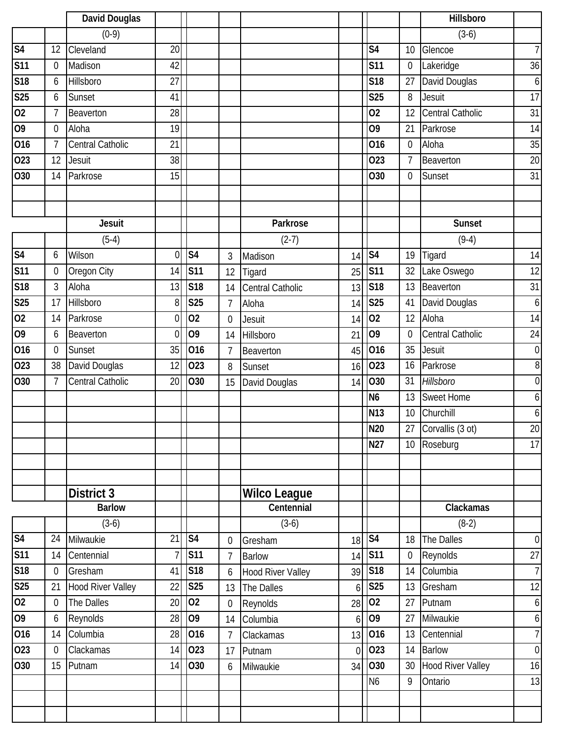|                 |                  | David Douglas            |                 |                |                |                          |                |                          |                  | Hillsboro                |                  |
|-----------------|------------------|--------------------------|-----------------|----------------|----------------|--------------------------|----------------|--------------------------|------------------|--------------------------|------------------|
|                 |                  | $(0-9)$                  |                 |                |                |                          |                |                          |                  | $(3-6)$                  |                  |
| S <sub>4</sub>  | 12               | Cleveland                | $\overline{20}$ |                |                |                          |                | S <sub>4</sub>           | 10               | Glencoe                  | $\overline{7}$   |
| <b>S11</b>      | 0                | Madison                  | 42              |                |                |                          |                | <b>S11</b>               | $\boldsymbol{0}$ | Lakeridge                | 36               |
| S18             | 6                | Hillsboro                | 27              |                |                |                          |                | S <sub>18</sub>          | 27               | David Douglas            | 6                |
| S25             | 6                | Sunset                   | 41              |                |                |                          |                | <b>S25</b>               | 8                | <b>Jesuit</b>            | 17               |
| 02              | 7                | Beaverton                | 28              |                |                |                          |                | 02                       | 12               | <b>Central Catholic</b>  | 31               |
| 09              | 0                | Aloha                    | 19              |                |                |                          |                | 09                       | 21               | Parkrose                 | 14               |
| 016             | $\overline{7}$   | <b>Central Catholic</b>  | 21              |                |                |                          |                | 016                      | $\mathbf 0$      | Aloha                    | 35               |
| 023             | 12               | Jesuit                   | 38              |                |                |                          |                | 023                      | 7                | Beaverton                | 20               |
| O30             | 14               | Parkrose                 | 15              |                |                |                          |                | O30                      | $\mathbf 0$      | Sunset                   | 31               |
|                 |                  |                          |                 |                |                |                          |                |                          |                  |                          |                  |
|                 |                  |                          |                 |                |                |                          |                |                          |                  |                          |                  |
|                 |                  | <b>Jesuit</b>            |                 |                |                | Parkrose                 |                |                          |                  | Sunset                   |                  |
|                 |                  | $(5-4)$                  |                 |                |                | $(2-7)$                  |                |                          |                  | $(9-4)$                  |                  |
| S <sub>4</sub>  | 6                | Wilson                   | $\overline{0}$  | S <sub>4</sub> | 3              | Madison                  | 14             | $\overline{\mathsf{S4}}$ | 19               | Tigard                   | 14               |
| S <sub>11</sub> | $\boldsymbol{0}$ | Oregon City              | 14              | <b>S11</b>     | 12             | Tigard                   | 25             | <b>S11</b>               | 32               | Lake Oswego              | 12               |
| S18             | 3                | Aloha                    | 13              | <b>S18</b>     | 14             | <b>Central Catholic</b>  | 13             | S <sub>18</sub>          | 13               | Beaverton                | 31               |
| <b>S25</b>      | 17               | Hillsboro                | 8               | <b>S25</b>     | $\overline{1}$ | Aloha                    | 14             | <b>S25</b>               | 41               | David Douglas            | $\boldsymbol{6}$ |
| 0 <sub>2</sub>  | 14               | Parkrose                 | $\mathbf 0$     | 02             | $\mathbf 0$    | Jesuit                   | 14             | 02                       | 12               | Aloha                    | 14               |
| 09              | 6                | Beaverton                | $\mathbf{0}$    | O <sub>9</sub> | 14             | Hillsboro                | 21             | 09                       | $\mathbf 0$      | Central Catholic         | 24               |
| 016             | $\mathbf 0$      | Sunset                   | 35              | 016            | 7              | Beaverton                | 45             | 016                      | 35               | <b>Jesuit</b>            | $\mathbf 0$      |
| 023             | 38               | David Douglas            | 12              | 023            | 8              | Sunset                   | 16             | 023                      | 16               | Parkrose                 | 8                |
| O30             | $\overline{7}$   | Central Catholic         | 20              | 030            | 15             | David Douglas            | 14             | O30                      | 31               | Hillsboro                | $\overline{0}$   |
|                 |                  |                          |                 |                |                |                          |                | N <sub>6</sub>           | 13               | <b>Sweet Home</b>        | 6                |
|                 |                  |                          |                 |                |                |                          |                | N <sub>13</sub>          | 10               | Churchill                | 6                |
|                 |                  |                          |                 |                |                |                          |                | <b>N20</b>               | 27               | Corvallis (3 ot)         | $\overline{20}$  |
|                 |                  |                          |                 |                |                |                          |                | <b>N27</b>               | 10 <sup>°</sup>  | Roseburg                 | 17               |
|                 |                  |                          |                 |                |                |                          |                |                          |                  |                          |                  |
|                 |                  |                          |                 |                |                |                          |                |                          |                  |                          |                  |
|                 |                  | <b>District 3</b>        |                 |                |                | <b>Wilco League</b>      |                |                          |                  |                          |                  |
|                 |                  | <b>Barlow</b>            |                 |                |                | Centennial               |                |                          |                  | Clackamas                |                  |
|                 |                  | $(3-6)$                  |                 |                |                | $(3-6)$                  |                |                          |                  | $(8-2)$                  |                  |
| S <sub>4</sub>  | 24               | Milwaukie                | 21              | S <sub>4</sub> | $\overline{0}$ | Gresham                  | 18             | $\overline{\text{S4}}$   | 18               | The Dalles               | $\mathbf 0$      |
| S <sub>11</sub> | 14               | Centennial               | $\overline{7}$  | <b>S11</b>     | $\overline{7}$ | <b>Barlow</b>            | 14             | S <sub>11</sub>          | $\boldsymbol{0}$ | Reynolds                 | $\overline{27}$  |
| S18             | $\boldsymbol{0}$ | Gresham                  | 41              | S18            | 6              | <b>Hood River Valley</b> | 39             | <b>S18</b>               | 14               | Columbia                 | $\overline{I}$   |
| S <sub>25</sub> | 21               | <b>Hood River Valley</b> | 22              | <b>S25</b>     | 13             | The Dalles               | 6              | S <sub>25</sub>          | 13               | Gresham                  | 12               |
| $\overline{02}$ | 0                | The Dalles               | 20              | 02             | $\mathbf 0$    | Reynolds                 | 28             | 02                       | 27               | Putnam                   | 6                |
| 09              | 6                | Reynolds                 | 28              | O <sub>9</sub> | 14             | Columbia                 | 6              | 09                       | 27               | Milwaukie                | 6                |
| 016             | 14               | Columbia                 | 28              | 016            | $\overline{7}$ | Clackamas                | 13             | 016                      | 13               | Centennial               | $\overline{7}$   |
| 023             | $\mathbf 0$      | Clackamas                | 14              | 023            | 17             | Putnam                   | $\overline{0}$ | 023                      | 14               | <b>Barlow</b>            | $\mathbf 0$      |
| 030             | 15               | Putnam                   | 14              | O30            | 6              | Milwaukie                | 34             | 030                      | 30               | <b>Hood River Valley</b> | 16               |
|                 |                  |                          |                 |                |                |                          |                | N <sub>6</sub>           | 9                | Ontario                  | 13               |
|                 |                  |                          |                 |                |                |                          |                |                          |                  |                          |                  |
|                 |                  |                          |                 |                |                |                          |                |                          |                  |                          |                  |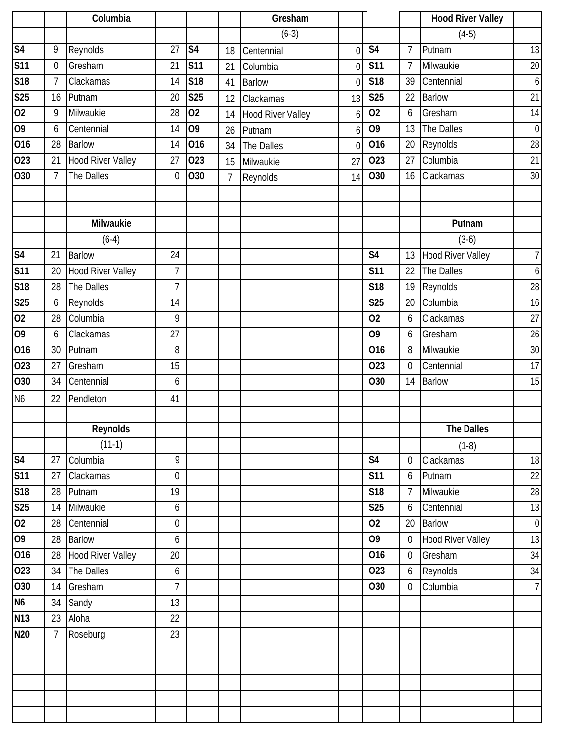|                 |                  | Columbia                 |                  |                |                | Gresham                  |                |                          |                 | <b>Hood River Valley</b> |                  |
|-----------------|------------------|--------------------------|------------------|----------------|----------------|--------------------------|----------------|--------------------------|-----------------|--------------------------|------------------|
|                 |                  |                          |                  |                |                | $(6-3)$                  |                |                          |                 | $(4-5)$                  |                  |
| S <sub>4</sub>  | 9                | Reynolds                 | 27               | S <sub>4</sub> | 18             | Centennial               | $\overline{0}$ | $\overline{\mathsf{S4}}$ | $7\overline{ }$ | Putnam                   | 13               |
| <b>S11</b>      | $\boldsymbol{0}$ | Gresham                  | 21               | <b>S11</b>     | 21             | Columbia                 | $\overline{0}$ | <b>S11</b>               | $7\overline{ }$ | Milwaukie                | 20               |
| <b>S18</b>      | 7                | Clackamas                | 14               | S18            | 41             | <b>Barlow</b>            | $\overline{0}$ | <b>S18</b>               | 39              | Centennial               | 6                |
| S25             | 16               | Putnam                   | 20               | <b>S25</b>     | 12             | Clackamas                | 13             | <b>S25</b>               | 22              | <b>Barlow</b>            | $\overline{21}$  |
| $\overline{02}$ | 9                | Milwaukie                | 28               | 02             | 14             | <b>Hood River Valley</b> | 6              | 02                       | 6               | Gresham                  | 14               |
| 09              | 6                | Centennial               | 14               | O <sub>9</sub> | 26             | Putnam                   | 6              | $\overline{09}$          | 13              | The Dalles               | $\boldsymbol{0}$ |
| 016             | 28               | <b>Barlow</b>            | 14               | 016            | 34             | The Dalles               | $\overline{0}$ | 016                      | 20              | Reynolds                 | 28               |
| 023             | 21               | <b>Hood River Valley</b> | 27               | 023            | 15             | Milwaukie                | 27             | 023                      | 27              | Columbia                 | 21               |
| 030             | $\overline{7}$   | The Dalles               | $\overline{0}$   | O30            | $\overline{7}$ | Reynolds                 | 14             | O30                      | 16              | Clackamas                | 30               |
|                 |                  |                          |                  |                |                |                          |                |                          |                 |                          |                  |
|                 |                  |                          |                  |                |                |                          |                |                          |                 |                          |                  |
|                 |                  | <b>Milwaukie</b>         |                  |                |                |                          |                |                          |                 | Putnam                   |                  |
|                 |                  | $(6-4)$                  |                  |                |                |                          |                |                          |                 | $(3-6)$                  |                  |
| S <sub>4</sub>  | 21               | <b>Barlow</b>            | 24               |                |                |                          |                | $\overline{\mathsf{S}4}$ | 13              | <b>Hood River Valley</b> | $\overline{7}$   |
| <b>S11</b>      | 20               | <b>Hood River Valley</b> | $\overline{7}$   |                |                |                          |                | <b>S11</b>               | 22              | The Dalles               | 6                |
| <b>S18</b>      | 28               | The Dalles               | $\overline{1}$   |                |                |                          |                | S <sub>18</sub>          | 19              | Reynolds                 | 28               |
| <b>S25</b>      | 6                | Reynolds                 | 14               |                |                |                          |                | <b>S25</b>               | 20              | Columbia                 | 16               |
| 02              | 28               | Columbia                 | 9                |                |                |                          |                | 02                       | 6               | Clackamas                | 27               |
| 09              | 6                | Clackamas                | 27               |                |                |                          |                | O <sub>9</sub>           | 6               | Gresham                  | 26               |
| 016             | 30               | Putnam                   | 8                |                |                |                          |                | 016                      | 8               | Milwaukie                | 30               |
| 023             | 27               | Gresham                  | 15               |                |                |                          |                | 023                      | $\mathbf 0$     | Centennial               | 17               |
| 030             | 34               | Centennial               | 6                |                |                |                          |                | O30                      | 14              | <b>Barlow</b>            | 15               |
| N <sub>6</sub>  | 22               | Pendleton                | 41               |                |                |                          |                |                          |                 |                          |                  |
|                 |                  |                          |                  |                |                |                          |                |                          |                 |                          |                  |
|                 |                  | Reynolds                 |                  |                |                |                          |                |                          |                 | <b>The Dalles</b>        |                  |
|                 |                  | $(11-1)$                 |                  |                |                |                          |                |                          |                 | $(1-8)$                  |                  |
| S <sub>4</sub>  | 27               | Columbia                 | $\overline{9}$   |                |                |                          |                | $\overline{\mathsf{S4}}$ | $\mathbf 0$     | Clackamas                | 18               |
| <b>S11</b>      | 27               | Clackamas                | $\boldsymbol{0}$ |                |                |                          |                | <b>S11</b>               | 6               | Putnam                   | $22\,$           |
| <b>S18</b>      | 28               | Putnam                   | 19               |                |                |                          |                | <b>S18</b>               | $7\overline{ }$ | Milwaukie                | 28               |
| <b>S25</b>      | 14               | Milwaukie                | $6 \mid$         |                |                |                          |                | <b>S25</b>               | 6               | Centennial               | 13               |
| 02              | 28               | Centennial               | $\overline{0}$   |                |                |                          |                | 02                       | 20              | <b>Barlow</b>            | $\boldsymbol{0}$ |
| 09              | 28               | <b>Barlow</b>            | $6\overline{)}$  |                |                |                          |                | 09                       | $\overline{0}$  | <b>Hood River Valley</b> | 13               |
| 016             | 28               | <b>Hood River Valley</b> | $20\,$           |                |                |                          |                | 016                      | $\overline{0}$  | Gresham                  | 34               |
| 023             | 34               | The Dalles               | $\boldsymbol{6}$ |                |                |                          |                | 023                      | 6               | Reynolds                 | 34               |
| O30             | 14               | Gresham                  | $\overline{1}$   |                |                |                          |                | O30                      | $\overline{0}$  | Columbia                 | $\overline{1}$   |
| N <sub>6</sub>  | 34               | Sandy                    | 13               |                |                |                          |                |                          |                 |                          |                  |
| N13             | 23               | Aloha                    | $\overline{22}$  |                |                |                          |                |                          |                 |                          |                  |
| <b>N20</b>      | $\overline{7}$   | Roseburg                 | 23               |                |                |                          |                |                          |                 |                          |                  |
|                 |                  |                          |                  |                |                |                          |                |                          |                 |                          |                  |
|                 |                  |                          |                  |                |                |                          |                |                          |                 |                          |                  |
|                 |                  |                          |                  |                |                |                          |                |                          |                 |                          |                  |
|                 |                  |                          |                  |                |                |                          |                |                          |                 |                          |                  |
|                 |                  |                          |                  |                |                |                          |                |                          |                 |                          |                  |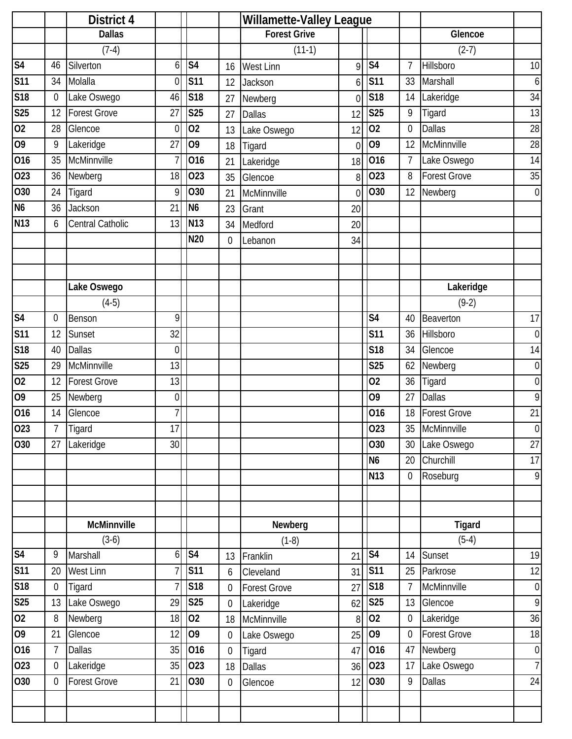|                 |                  | District 4              |                  |                 |                | <b>Willamette-Valley League</b> |                |                        |                  |                     |                |
|-----------------|------------------|-------------------------|------------------|-----------------|----------------|---------------------------------|----------------|------------------------|------------------|---------------------|----------------|
|                 |                  | <b>Dallas</b>           |                  |                 |                | <b>Forest Grive</b>             |                |                        |                  | Glencoe             |                |
|                 |                  | $(7-4)$                 |                  |                 |                | $(11-1)$                        |                |                        |                  | $(2-7)$             |                |
| S <sub>4</sub>  | 46               | Silverton               | 6                | S <sub>4</sub>  | 16             | West Linn                       | Q              | S <sub>4</sub>         | $\overline{7}$   | Hillsboro           | 10             |
| <b>S11</b>      | 34               | Molalla                 | $\mathbf 0$      | <b>S11</b>      | 12             | Jackson                         | 6              | <b>S11</b>             | 33               | Marshall            | $6 \mid$       |
| S18             | $\mathbf 0$      | Lake Oswego             | 46               | <b>S18</b>      | 27             | Newberg                         | 0              | S <sub>18</sub>        | 14               | Lakeridge           | 34             |
| <b>S25</b>      | 12               | Forest Grove            | 27               | <b>S25</b>      | 27             | <b>Dallas</b>                   | 12             | S <sub>25</sub>        | 9                | Tigard              | 13             |
| 02              | 28               | Glencoe                 | $\mathbf 0$      | 02              | 13             | Lake Oswego                     | 12             | 02                     | $\mathbf 0$      | <b>Dallas</b>       | 28             |
| 09              | 9                | Lakeridge               | 27               | O <sub>9</sub>  | 18             | Tigard                          | $\overline{0}$ | O <sub>9</sub>         | 12               | McMinnville         | 28             |
| 016             | 35               | McMinnville             | 7                | 016             | 21             | Lakeridge                       | 18             | 016                    | $\overline{7}$   | Lake Oswego         | 14             |
| 023             | 36               | Newberg                 | 18               | 023             | 35             | Glencoe                         | 8              | 023                    | 8                | <b>Forest Grove</b> | $35\,$         |
| 030             | 24               | Tigard                  | 9                | O30             | 21             | McMinnville                     | $\overline{0}$ | 030                    | 12               | Newberg             | $\overline{0}$ |
| N <sub>6</sub>  | 36               | Jackson                 | 21               | N <sub>6</sub>  | 23             | Grant                           | 20             |                        |                  |                     |                |
| N <sub>13</sub> | 6                | <b>Central Catholic</b> | 13               | <b>N13</b>      | 34             | Medford                         | 20             |                        |                  |                     |                |
|                 |                  |                         |                  | N20             | $\mathbf 0$    | Lebanon                         | 34             |                        |                  |                     |                |
|                 |                  |                         |                  |                 |                |                                 |                |                        |                  |                     |                |
|                 |                  |                         |                  |                 |                |                                 |                |                        |                  |                     |                |
|                 |                  | Lake Oswego             |                  |                 |                |                                 |                |                        |                  | Lakeridge           |                |
|                 |                  | $(4-5)$                 |                  |                 |                |                                 |                |                        |                  | $(9-2)$             |                |
| S <sub>4</sub>  | 0                | Benson                  | 9                |                 |                |                                 |                | S <sub>4</sub>         | 40               | Beaverton           | 17             |
| <b>S11</b>      | 12               | Sunset                  | 32               |                 |                |                                 |                | S <sub>11</sub>        | 36               | Hillsboro           | $\overline{0}$ |
| S18             | 40               | <b>Dallas</b>           | $\mathbf 0$      |                 |                |                                 |                | <b>S18</b>             | 34               | Glencoe             | 14             |
| <b>S25</b>      | 29               | McMinnville             | 13               |                 |                |                                 |                | <b>S25</b>             | 62               | Newberg             | $\overline{0}$ |
| 02              | 12               | <b>Forest Grove</b>     | 13               |                 |                |                                 |                | 02                     | 36               | Tigard              | $\overline{0}$ |
| 09              | 25               | Newberg                 | $\mathbf 0$      |                 |                |                                 |                | 09                     | 27               | <b>Dallas</b>       | 9              |
| 016             | 14               | Glencoe                 | 7                |                 |                |                                 |                | 016                    | 18               | <b>Forest Grove</b> | 21             |
| 023             | 7                | Tigard                  | 17               |                 |                |                                 |                | 023                    |                  | 35 McMinnville      | $\overline{0}$ |
| O30             | 27               | Lakeridge               | 30               |                 |                |                                 |                | 030                    | 30               | Lake Oswego         | $27\,$         |
|                 |                  |                         |                  |                 |                |                                 |                | N <sub>6</sub>         | 20               | Churchill           | 17             |
|                 |                  |                         |                  |                 |                |                                 |                | N <sub>13</sub>        | $\overline{0}$   | Roseburg            | 9              |
|                 |                  |                         |                  |                 |                |                                 |                |                        |                  |                     |                |
|                 |                  |                         |                  |                 |                |                                 |                |                        |                  |                     |                |
|                 |                  | McMinnville             |                  |                 |                | Newberg                         |                |                        |                  | Tigard              |                |
|                 |                  | $(3-6)$                 |                  |                 |                | $(1-8)$                         |                |                        |                  | $(5-4)$             |                |
| S <sub>4</sub>  | 9                | Marshall                | $6 \overline{6}$ | S <sub>4</sub>  | 13             | Franklin                        | 21             | $\overline{\text{S4}}$ | 14               | Sunset              | 19             |
| <b>S11</b>      | 20               | <b>West Linn</b>        | $\overline{1}$   | <b>S11</b>      | 6              | Cleveland                       | 31             | <b>S11</b>             | 25               | Parkrose            | 12             |
| S18             | $\boldsymbol{0}$ | Tigard                  | $\overline{7}$   | S18             | $\mathbf 0$    | <b>Forest Grove</b>             | 27             | S18                    | $\overline{7}$   | McMinnville         | $\overline{0}$ |
| <b>S25</b>      | 13               | Lake Oswego             | 29               | <b>S25</b>      | $\mathbf 0$    | Lakeridge                       | 62             | <b>S25</b>             | 13               | Glencoe             | $\overline{9}$ |
| 02              | 8                | Newberg                 | 18               | 02              | 18             | McMinnville                     | 8              | 02                     | $\boldsymbol{0}$ | Lakeridge           | 36             |
| 09              | 21               | Glencoe                 | 12               | O <sub>9</sub>  | $\mathbf 0$    | Lake Oswego                     | 25             | 09                     | $\mathbf 0$      | <b>Forest Grove</b> | 18             |
| 016             | $\overline{7}$   | <b>Dallas</b>           | 35               | 016             | $\overline{0}$ | Tigard                          | 47             | 016                    | 47               | Newberg             | $\overline{0}$ |
| 023             | $\boldsymbol{0}$ | Lakeridge               | 35               | 023             | 18             | <b>Dallas</b>                   | 36             | 023                    | 17               | Lake Oswego         | 7              |
| O30             | 0                | Forest Grove            | 21               | O <sub>30</sub> | $\mathbf 0$    | Glencoe                         | 12             | 030                    | 9                | <b>Dallas</b>       | 24             |
|                 |                  |                         |                  |                 |                |                                 |                |                        |                  |                     |                |
|                 |                  |                         |                  |                 |                |                                 |                |                        |                  |                     |                |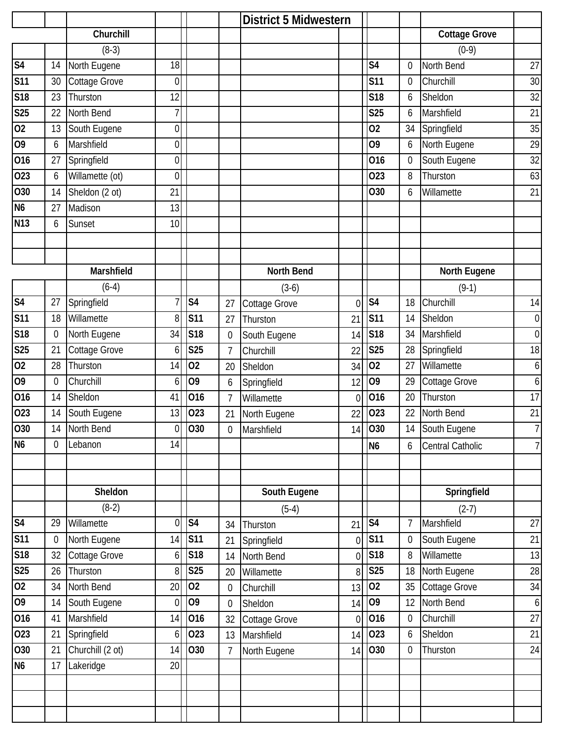|                            |                  |                  |                  |                        |                  | <b>District 5 Midwestern</b> |                |                |                  |                      |                  |
|----------------------------|------------------|------------------|------------------|------------------------|------------------|------------------------------|----------------|----------------|------------------|----------------------|------------------|
|                            |                  | Churchill        |                  |                        |                  |                              |                |                |                  | <b>Cottage Grove</b> |                  |
|                            |                  | $(8-3)$          |                  |                        |                  |                              |                |                |                  | $(0-9)$              |                  |
| S <sub>4</sub>             | 14               | North Eugene     | 18               |                        |                  |                              |                | S <sub>4</sub> | 0                | North Bend           | 27               |
| <b>S11</b>                 | 30               | Cottage Grove    | $\mathbf 0$      |                        |                  |                              |                | <b>S11</b>     | $\mathbf 0$      | Churchill            | 30               |
| S18                        | 23               | Thurston         | 12               |                        |                  |                              |                | <b>S18</b>     | 6                | Sheldon              | 32               |
| S25                        | 22               | North Bend       | 7                |                        |                  |                              |                | <b>S25</b>     | 6                | Marshfield           | 21               |
| 02                         | 13               | South Eugene     | $\overline{0}$   |                        |                  |                              |                | 02             | 34               | Springfield          | 35               |
| O <sub>9</sub>             | 6                | Marshfield       | 0                |                        |                  |                              |                | O <sub>9</sub> | 6                | North Eugene         | 29               |
| 016                        | 27               | Springfield      | $\boldsymbol{0}$ |                        |                  |                              |                | 016            | $\boldsymbol{0}$ | South Eugene         | 32               |
| 023                        | 6                | Willamette (ot)  | 0                |                        |                  |                              |                | 023            | 8                | Thurston             | 63               |
| 030                        | 14               | Sheldon (2 ot)   | 21               |                        |                  |                              |                | O30            | 6                | Willamette           | 21               |
| N <sub>6</sub>             | 27               | Madison          | 13               |                        |                  |                              |                |                |                  |                      |                  |
| <b>N13</b>                 | 6                | Sunset           | 10               |                        |                  |                              |                |                |                  |                      |                  |
|                            |                  |                  |                  |                        |                  |                              |                |                |                  |                      |                  |
|                            |                  |                  |                  |                        |                  |                              |                |                |                  |                      |                  |
|                            |                  | Marshfield       |                  |                        |                  | <b>North Bend</b>            |                |                |                  | North Eugene         |                  |
|                            |                  | $(6-4)$          |                  |                        |                  | $(3-6)$                      |                |                |                  | $(9-1)$              |                  |
| $\overline{\overline{S4}}$ | 27               | Springfield      | 7                | S <sub>4</sub>         | 27               | Cottage Grove                | $\overline{0}$ | S <sub>4</sub> | 18               | Churchill            | 14               |
| <b>S11</b>                 | 18               | Willamette       | 8                | <b>S11</b>             | 27               | Thurston                     | 21             | <b>S11</b>     | 14               | Sheldon              | $\boldsymbol{0}$ |
| <b>S18</b>                 | $\boldsymbol{0}$ | North Eugene     | 34               | S18                    | 0                | South Eugene                 | 14             | S18            | 34               | Marshfield           | $\mathbf 0$      |
| <b>S25</b>                 | 21               | Cottage Grove    | 6                | <b>S25</b>             | $\overline{1}$   | Churchill                    | 22             | <b>S25</b>     | 28               | Springfield          | 18               |
| 02                         | 28               | Thurston         | 14               | 02                     | 20               | Sheldon                      | 34             | 02             | 27               | Willamette           | 6                |
| 09                         | $\boldsymbol{0}$ | Churchill        | 6                | O <sub>9</sub>         | 6                | Springfield                  | 12             | 09             | 29               | Cottage Grove        | 6                |
| 016                        | 14               | Sheldon          | 41               | 016                    | $\overline{1}$   | Willamette                   | $\overline{0}$ | 016            | 20               | Thurston             | 17               |
| 023                        | 14               | South Eugene     | 13               | 023                    | 21               | North Eugene                 | 22             | 023            | 22               | North Bend           | 21               |
| 030                        | 14               | North Bend       | $\overline{0}$   | 030                    | $\boldsymbol{0}$ | Marshfield                   | 14             | 030            | 14               | South Eugene         | $\overline{7}$   |
| N <sub>6</sub>             | 0                | Lebanon          | 14               |                        |                  |                              |                | N <sub>6</sub> | 6                | Central Catholic     | $\overline{7}$   |
|                            |                  |                  |                  |                        |                  |                              |                |                |                  |                      |                  |
|                            |                  |                  |                  |                        |                  |                              |                |                |                  |                      |                  |
|                            |                  | Sheldon          |                  |                        |                  | South Eugene                 |                |                |                  | Springfield          |                  |
|                            |                  | $(8-2)$          |                  |                        |                  | $(5-4)$                      |                |                |                  | $(2-7)$              |                  |
| S <sub>4</sub>             | 29               | Willamette       | $\overline{0}$   | $\overline{\text{S4}}$ | 34               | Thurston                     | 21             | S <sub>4</sub> | 7                | Marshfield           | 27               |
| S11                        | 0                | North Eugene     | 14               | <b>S11</b>             | 21               | Springfield                  | $\overline{0}$ | <b>S11</b>     | $\mathbf 0$      | South Eugene         | 21               |
| S18                        | 32               | Cottage Grove    | 6                | S18                    | 14               | North Bend                   | $\overline{0}$ | S18            | 8                | Willamette           | 13               |
| <b>S25</b>                 | 26               | Thurston         | 8                | <b>S25</b>             | 20               | Willamette                   | 8              | <b>S25</b>     | 18               | North Eugene         | 28               |
| 02                         | 34               | North Bend       | 20               | 02                     | $\mathbf 0$      | Churchill                    | 13             | 02             | 35               | Cottage Grove        | 34               |
| 09                         | 14               | South Eugene     | $\boldsymbol{0}$ | O <sub>9</sub>         | $\boldsymbol{0}$ | Sheldon                      | 14             | 09             | 12               | North Bend           | 6                |
| 016                        | 41               | Marshfield       | 14               | 016                    | 32               | Cottage Grove                | $\overline{0}$ | 016            | $\boldsymbol{0}$ | Churchill            | $\overline{27}$  |
| 023                        | 21               | Springfield      | 6                | 023                    | 13               | Marshfield                   | 14             | 023            | 6                | Sheldon              | 21               |
| 030                        | 21               | Churchill (2 ot) | 14               | O30                    | $\overline{7}$   | North Eugene                 | 14             | 030            | $\boldsymbol{0}$ | Thurston             | 24               |
| N <sub>6</sub>             | 17               | Lakeridge        | 20               |                        |                  |                              |                |                |                  |                      |                  |
|                            |                  |                  |                  |                        |                  |                              |                |                |                  |                      |                  |
|                            |                  |                  |                  |                        |                  |                              |                |                |                  |                      |                  |
|                            |                  |                  |                  |                        |                  |                              |                |                |                  |                      |                  |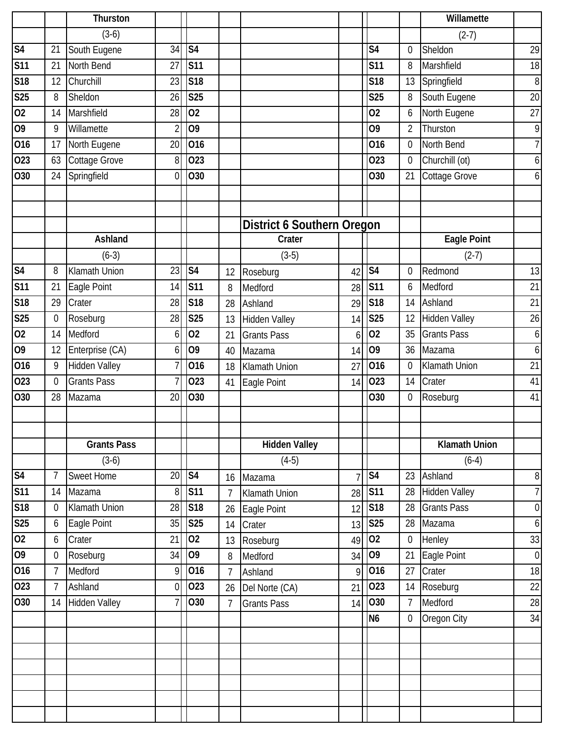|                 |                | Thurston             |                 |                          |                |                                   |                |                          |                  | Willamette           |                  |
|-----------------|----------------|----------------------|-----------------|--------------------------|----------------|-----------------------------------|----------------|--------------------------|------------------|----------------------|------------------|
|                 |                | $(3-6)$              |                 |                          |                |                                   |                |                          |                  | $(2-7)$              |                  |
| S <sub>4</sub>  | 21             | South Eugene         | 34              | S <sub>4</sub>           |                |                                   |                | S <sub>4</sub>           | 0                | Sheldon              | 29               |
| <b>S11</b>      | 21             | North Bend           | 27              | <b>S11</b>               |                |                                   |                | <b>S11</b>               | 8                | Marshfield           | 18               |
| S18             | 12             | Churchill            | 23              | S18                      |                |                                   |                | <b>S18</b>               | 13               | Springfield          | $\, 8$           |
| <b>S25</b>      | 8              | Sheldon              | 26              | <b>S25</b>               |                |                                   |                | <b>S25</b>               | 8                | South Eugene         | 20               |
| $\overline{02}$ | 14             | Marshfield           | 28              | 02                       |                |                                   |                | 02                       | 6                | North Eugene         | 27               |
| $\overline{60}$ | 9              | Willamette           | $\overline{2}$  | $\overline{09}$          |                |                                   |                | 09                       | $\overline{2}$   | Thurston             | 9                |
| 016             | 17             | North Eugene         | 20              | 016                      |                |                                   |                | 016                      | $\mathbf 0$      | North Bend           | $\overline{7}$   |
| 023             | 63             | Cottage Grove        | 8               | 023                      |                |                                   |                | 023                      | $\boldsymbol{0}$ | Churchill (ot)       | 6                |
| O30             | 24             | Springfield          | $\theta$        | O30                      |                |                                   |                | O30                      | 21               | Cottage Grove        | 6                |
|                 |                |                      |                 |                          |                |                                   |                |                          |                  |                      |                  |
|                 |                |                      |                 |                          |                |                                   |                |                          |                  |                      |                  |
|                 |                |                      |                 |                          |                | <b>District 6 Southern Oregon</b> |                |                          |                  |                      |                  |
|                 |                | Ashland              |                 |                          |                | Crater                            |                |                          |                  | Eagle Point          |                  |
|                 |                | $(6-3)$              |                 |                          |                | $(3-5)$                           |                |                          |                  | $(2-7)$              |                  |
| S <sub>4</sub>  | 8              | Klamath Union        | 23              | $\overline{\mathsf{S}4}$ | 12             | Roseburg                          | 42             | $\overline{\text{S4}}$   | 0                | Redmond              | 13               |
| <b>S11</b>      | 21             | Eagle Point          | 14              | <b>S11</b>               | 8              | Medford                           | 28             | <b>S11</b>               | 6                | Medford              | 21               |
| S18             | 29             | Crater               | 28              | S18                      | 28             | Ashland                           | 29             | S18                      | 14               | Ashland              | 21               |
| <b>S25</b>      | 0              | Roseburg             | 28              | <b>S25</b>               | 13             | Hidden Valley                     | 14             | <b>S25</b>               | 12               | <b>Hidden Valley</b> | 26               |
| $\overline{0}$  | 14             | Medford              | 6               | 02                       | 21             | <b>Grants Pass</b>                | 6              | 02                       | 35               | <b>Grants Pass</b>   | 6                |
| 09              | 12             | Enterprise (CA)      | 6               | O <sub>9</sub>           | 40             | Mazama                            | 14             | 09                       | 36               | Mazama               | 6                |
| 016             | 9              | <b>Hidden Valley</b> | 7               | 016                      | 18             | <b>Klamath Union</b>              | 27             | 016                      | 0                | Klamath Union        | 21               |
| 023             | $\mathbf 0$    | <b>Grants Pass</b>   | 7               | 023                      | 41             | Eagle Point                       | 14             | 023                      | 14               | Crater               | 41               |
| 030             | 28             | Mazama               | 20              | 030                      |                |                                   |                | O30                      | 0                | Roseburg             | 41               |
|                 |                |                      |                 |                          |                |                                   |                |                          |                  |                      |                  |
|                 |                |                      |                 |                          |                |                                   |                |                          |                  |                      |                  |
|                 |                | <b>Grants Pass</b>   |                 |                          |                | <b>Hidden Valley</b>              |                |                          |                  | <b>Klamath Union</b> |                  |
|                 |                | $(3-6)$              |                 |                          |                | $(4-5)$                           |                |                          |                  | $(6-4)$              |                  |
| S <sub>4</sub>  | 7              | <b>Sweet Home</b>    | $\overline{20}$ | $\overline{\text{S4}}$   | 16             | Mazama                            | $\overline{7}$ | $\overline{\mathsf{S}4}$ | 23               | Ashland              | 8                |
| S <sub>11</sub> | 14             | Mazama               | 8               | <b>S11</b>               | 7              | Klamath Union                     | 28             | <b>S11</b>               | 28               | Hidden Valley        | $\overline{7}$   |
| S18             | 0              | Klamath Union        | 28              | <b>S18</b>               | 26             | Eagle Point                       | 12             | <b>S18</b>               | 28               | <b>Grants Pass</b>   | $\boldsymbol{0}$ |
| S <sub>25</sub> | 6              | Eagle Point          | 35              | S25                      | 14             | Crater                            | 13             | <b>S25</b>               | 28               | Mazama               | 6                |
| 02              | 6              | Crater               | 21              | 02                       | 13             | Roseburg                          | 49             | 02                       | $\overline{0}$   | Henley               | 33               |
| 09              | 0              | Roseburg             | 34              | O <sub>9</sub>           | 8              | Medford                           | 34             | 09                       | 21               | Eagle Point          | $\boldsymbol{0}$ |
| 016             | $\overline{7}$ | Medford              | 9               | 016                      | $\overline{7}$ | Ashland                           | $\overline{9}$ | 016                      | 27               | Crater               | 18               |
| 023             | $\overline{7}$ | Ashland              | $\mathbf 0$     | 023                      | 26             | Del Norte (CA)                    | 21             | 023                      | 14               | Roseburg             | 22               |
| O30             | 14             | <b>Hidden Valley</b> | 7               | 030                      | 7              | <b>Grants Pass</b>                | 14             | 030                      | $\overline{7}$   | Medford              | 28               |
|                 |                |                      |                 |                          |                |                                   |                | N <sub>6</sub>           | $\mathbf 0$      | Oregon City          | 34               |
|                 |                |                      |                 |                          |                |                                   |                |                          |                  |                      |                  |
|                 |                |                      |                 |                          |                |                                   |                |                          |                  |                      |                  |
|                 |                |                      |                 |                          |                |                                   |                |                          |                  |                      |                  |
|                 |                |                      |                 |                          |                |                                   |                |                          |                  |                      |                  |
|                 |                |                      |                 |                          |                |                                   |                |                          |                  |                      |                  |
|                 |                |                      |                 |                          |                |                                   |                |                          |                  |                      |                  |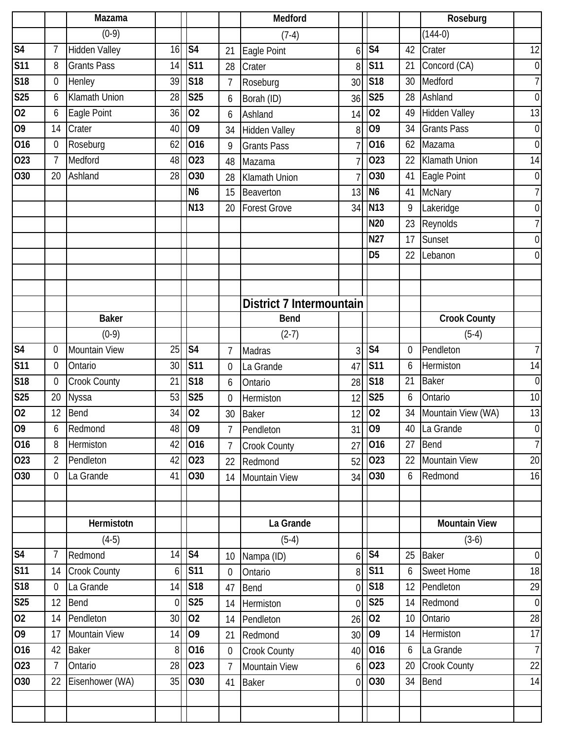|                 |                  | Mazama               |                |                        |                 | Medford                  |          |                                |                 | Roseburg             |                |
|-----------------|------------------|----------------------|----------------|------------------------|-----------------|--------------------------|----------|--------------------------------|-----------------|----------------------|----------------|
|                 |                  | $(0-9)$              |                |                        |                 | $(7-4)$                  |          |                                |                 | $(144-0)$            |                |
| S <sub>4</sub>  | $\overline{7}$   | Hidden Valley        | 16             | S <sub>4</sub>         | 21              | Eagle Point              | 6        | S <sub>4</sub>                 | 42              | Crater               | 12             |
| <b>S11</b>      | 8                | <b>Grants Pass</b>   | 14             | <b>S11</b>             | 28              | Crater                   | 8        | <b>S11</b>                     | 21              | Concord (CA)         | $\overline{0}$ |
| <b>S18</b>      | $\boldsymbol{0}$ | Henley               | 39             | S18                    | 7               | Roseburg                 | 30       | S18                            | 30              | Medford              | $7\vert$       |
| <b>S25</b>      | 6                | Klamath Union        | 28             | <b>S25</b>             | 6               | Borah (ID)               | 36       | <b>S25</b>                     | 28              | Ashland              | $\overline{0}$ |
| $\overline{02}$ | 6                | Eagle Point          | 36             | 02                     | 6               | Ashland                  | 14       | 02                             | 49              | <b>Hidden Valley</b> | 13             |
| 09              | 14               | Crater               | 40             | O <sub>9</sub>         | 34              | <b>Hidden Valley</b>     | 8        | $\overline{09}$                | 34              | <b>Grants Pass</b>   | $\overline{0}$ |
| 016             | $\boldsymbol{0}$ | Roseburg             | 62             | 016                    | 9               | <b>Grants Pass</b>       |          | 016                            | 62              | Mazama               | $\overline{0}$ |
| 023             | $\overline{7}$   | Medford              | 48             | 023                    | 48              | Mazama                   |          | 023                            | 22              | Klamath Union        | 14             |
| O30             | 20               | Ashland              | 28             | O30                    | 28              | <b>Klamath Union</b>     |          | O30                            | 41              | Eagle Point          | $\overline{0}$ |
|                 |                  |                      |                | N <sub>6</sub>         | 15              | Beaverton                | 13       | N <sub>6</sub>                 | 41              | <b>McNary</b>        | $7\vert$       |
|                 |                  |                      |                | N <sub>13</sub>        | 20              | <b>Forest Grove</b>      | 34       | N <sub>13</sub>                | 9               | Lakeridge            | $\overline{0}$ |
|                 |                  |                      |                |                        |                 |                          |          | <b>N20</b>                     | 23              | Reynolds             | $\overline{7}$ |
|                 |                  |                      |                |                        |                 |                          |          | <b>N27</b>                     | 17              | Sunset               | $\overline{0}$ |
|                 |                  |                      |                |                        |                 |                          |          | D <sub>5</sub>                 | 22              | Lebanon              | $\overline{0}$ |
|                 |                  |                      |                |                        |                 |                          |          |                                |                 |                      |                |
|                 |                  |                      |                |                        |                 |                          |          |                                |                 |                      |                |
|                 |                  |                      |                |                        |                 | District 7 Intermountain |          |                                |                 |                      |                |
|                 |                  | <b>Baker</b>         |                |                        |                 | <b>Bend</b>              |          |                                |                 | <b>Crook County</b>  |                |
|                 |                  | $(0-9)$              |                |                        |                 | $(2-7)$                  |          |                                |                 | $(5-4)$              |                |
| S <sub>4</sub>  | 0                | <b>Mountain View</b> | 25             | S <sub>4</sub>         | 7               | Madras                   | 3        | S <sub>4</sub>                 | 0               | Pendleton            | $\overline{7}$ |
| <b>S11</b>      | 0                | Ontario              | 30             | <b>S11</b>             | $\mathbf 0$     | La Grande                | 47       | <b>S11</b>                     | 6               | Hermiston            | 14             |
| <b>S18</b>      | $\mathbf 0$      | Crook County         | 21             | <b>S18</b>             | 6               | Ontario                  | 28       | S <sub>18</sub>                | 21              | <b>Baker</b>         | $\overline{0}$ |
| <b>S25</b>      | 20               | Nyssa                | 53             | <b>S25</b>             | $\mathbf 0$     | Hermiston                | 12       | <b>S25</b>                     | 6               | Ontario              | 10             |
| 02              | 12               | Bend                 | 34             | 02                     | 30              | <b>Baker</b>             | 12       | 02                             | 34              | Mountain View (WA)   | 13             |
| 09              | 6                | Redmond              |                | 48 09                  | 7               | Pendleton                |          | 31 09                          |                 | 40 La Grande         | $\overline{0}$ |
| 016             | 8                | Hermiston            | 42             | 016                    | $\overline{7}$  | <b>Crook County</b>      | 27       | $\overline{0}16$               | 27              | Bend                 | $\overline{7}$ |
| 023             | $\overline{2}$   | Pendleton            | 42             | 023                    | 22              | Redmond                  | 52       | 023                            | 22              | <b>Mountain View</b> | 20             |
| O30             | $\overline{0}$   | La Grande            | 41             | 030                    |                 | 14 Mountain View         |          | 34 030                         | 6               | Redmond              | 16             |
|                 |                  |                      |                |                        |                 |                          |          |                                |                 |                      |                |
|                 |                  |                      |                |                        |                 |                          |          |                                |                 |                      |                |
|                 |                  | Hermistotn           |                |                        |                 | La Grande                |          |                                |                 | <b>Mountain View</b> |                |
|                 |                  | $(4-5)$              |                |                        |                 | $(5-4)$                  |          |                                |                 | $(3-6)$              |                |
| S <sub>4</sub>  | $\overline{7}$   | Redmond              | 14             | $\overline{\text{S4}}$ | 10 <sup>1</sup> | Nampa (ID)               |          | $6$ $\overline{\phantom{1}54}$ | 25              | <b>Baker</b>         | $\overline{0}$ |
| <b>S11</b>      | 14               | <b>Crook County</b>  | 6 <sup>1</sup> | <b>S11</b>             | $\overline{0}$  | Ontario                  |          | $8$ S11                        | 6               | <b>Sweet Home</b>    | 18             |
| S18             | $\mathbf 0$      | La Grande            | 14             | <b>S18</b>             | 47              | Bend                     |          | $0$ S18                        | 12              | Pendleton            | 29             |
| <b>S25</b>      | 12               | Bend                 | $\overline{0}$ | S25                    | 14              | Hermiston                |          | $0$ S <sub>25</sub>            | 14              | Redmond              | $\overline{0}$ |
| 02              | 14               | Pendleton            | 30             | 02                     | 14              | Pendleton                | 26       | 02                             | 10 <sup>°</sup> | Ontario              | 28             |
| 09              | 17               | Mountain View        | 14             | 09                     | 21              | Redmond                  | 30       | $ 09\rangle$                   | 14              | Hermiston            | 17             |
| 016             | 42               | <b>Baker</b>         | $\overline{8}$ | 016                    | $\overline{0}$  | <b>Crook County</b>      |          | 40 016                         | 6               | La Grande            | $\overline{7}$ |
| 023             | $\overline{7}$   | Ontario              | 28             | 023                    | $\overline{7}$  | Mountain View            |          | 6 023                          | 20              | <b>Crook County</b>  | 22             |
| 030             | 22               | Eisenhower (WA)      | 35             | 030                    | 41              | <b>Baker</b>             | $\Omega$ | <b>O</b> 30                    | 34              | <b>Bend</b>          | 14             |
|                 |                  |                      |                |                        |                 |                          |          |                                |                 |                      |                |
|                 |                  |                      |                |                        |                 |                          |          |                                |                 |                      |                |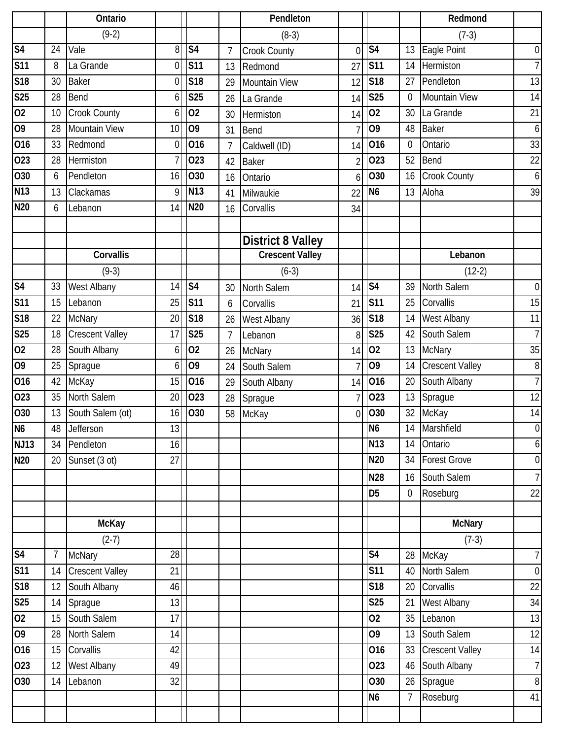|                           |                 | Ontario                |          |                |                | Pendleton                |                |                          |                | Redmond                        |                      |
|---------------------------|-----------------|------------------------|----------|----------------|----------------|--------------------------|----------------|--------------------------|----------------|--------------------------------|----------------------|
|                           |                 | $(9-2)$                |          |                |                | $(8-3)$                  |                |                          |                | $(7-3)$                        |                      |
| S <sub>4</sub>            | 24              | Vale                   | 8        | S <sub>4</sub> | $\overline{7}$ | Crook County             | $\overline{0}$ | $\overline{\mathsf{S}4}$ | 13             | Eagle Point                    | $\overline{0}$       |
| <b>S11</b>                | 8               | La Grande              | 0        | <b>S11</b>     | 13             | Redmond                  | 27             | <b>S11</b>               | 14             | Hermiston                      | 7 <sup>1</sup>       |
| <b>S18</b>                | 30              | <b>Baker</b>           | 0        | <b>S18</b>     | 29             | <b>Mountain View</b>     | 12             | <b>S18</b>               | 27             | Pendleton                      | 13                   |
| <b>S25</b>                | 28              | Bend                   | 6        | <b>S25</b>     | 26             | La Grande                | 14             | <b>S25</b>               | $\mathbf 0$    | Mountain View                  | 14                   |
| 02                        | 10              | Crook County           | 6        | 02             | 30             | Hermiston                | 14             | 02                       | 30             | La Grande                      | 21                   |
| $\overline{09}$           | 28              | <b>Mountain View</b>   | 10       | 09             | 31             | Bend                     |                | $\overline{09}$          | 48             | <b>Baker</b>                   | 6                    |
| 016                       | 33              | Redmond                | 0        | 016            | 7              | Caldwell (ID)            | 14             | 016                      | $\mathbf 0$    | Ontario                        | 33                   |
| 023                       | 28              | Hermiston              | 7        | 023            | 42             | <b>Baker</b>             | $\overline{2}$ | 023                      | 52             | Bend                           | 22                   |
| <b>O30</b>                | 6               | Pendleton              | 16       | O30            | 16             | Ontario                  | 6              | 030                      | 16             | Crook County                   | $6 \mid$             |
| N13                       | 13              | Clackamas              | 9        | N13            | 41             | Milwaukie                | 22             | N <sub>6</sub>           | 13             | Aloha                          | 39                   |
| <b>N20</b>                | 6               | Lebanon                | 14       | <b>N20</b>     | 16             | Corvallis                | 34             |                          |                |                                |                      |
|                           |                 |                        |          |                |                |                          |                |                          |                |                                |                      |
|                           |                 | Corvallis              |          |                |                | <b>District 8 Valley</b> |                |                          |                |                                |                      |
|                           |                 |                        |          |                |                | <b>Crescent Valley</b>   |                |                          |                | Lebanon                        |                      |
| S <sub>4</sub>            | 33              | $(9-3)$                | 14       | S <sub>4</sub> |                | $(6-3)$                  |                | S <sub>4</sub>           |                | $(12-2)$                       |                      |
| <b>S11</b>                | 15              | West Albany<br>Lebanon | 25       | <b>S11</b>     | 30             | North Salem              | 14             | <b>S11</b>               | 39             | North Salem<br>Corvallis       | $\overline{0}$<br>15 |
| <b>S18</b>                |                 |                        | 20       | <b>S18</b>     | 6              | Corvallis                | 21             | <b>S18</b>               | 25<br>14       |                                | 11                   |
| <b>S25</b>                | 22              | <b>McNary</b>          | 17       | <b>S25</b>     | 26             | West Albany              | 36             | <b>S25</b>               |                | West Albany                    | 7 <sup>1</sup>       |
| $\overline{02}$           | 18              | <b>Crescent Valley</b> |          | 02             | $\overline{1}$ | Lebanon                  | 8              | 02                       | 42             | South Salem                    |                      |
|                           | 28              | South Albany           | 6        |                | 26             | <b>McNary</b>            | 14             | 09                       | 13             | <b>McNary</b>                  | 35                   |
| 09                        | 25              | Sprague                | 6        | 09             | 24             | South Salem              |                |                          | 14             | <b>Crescent Valley</b>         | 8<br>$\overline{7}$  |
| 016                       | 42              | McKay                  | 15       | 016            | 29             | South Albany             | 14             | 016                      | 20             | South Albany                   |                      |
| 023                       | 35              | North Salem            | 20       | 023            | 28             | Sprague                  |                | 023                      | 13             | Sprague                        | 12                   |
| 030                       | 13              | South Salem (ot)       | 16       | O30            | 58             | McKay                    | $\overline{0}$ | 030<br>N <sub>6</sub>    | 32             | McKay                          | 14<br>$\overline{0}$ |
| N <sub>6</sub>            | 48              | Jefferson              | 13       |                |                |                          |                | <b>N13</b>               | 14             | Marshfield                     | $6 \mid$             |
| <b>NJ13</b><br><b>N20</b> | 34              | Pendleton              | 16<br>27 |                |                |                          |                | N20                      | 14<br>34       | Ontario<br><b>Forest Grove</b> | $\overline{0}$       |
|                           | 20              | Sunset (3 ot)          |          |                |                |                          |                |                          |                |                                |                      |
|                           |                 |                        |          |                |                |                          |                | <b>N28</b>               | 16             | South Salem                    | 7 <sup>1</sup>       |
|                           |                 |                        |          |                |                |                          |                | D <sub>5</sub>           | $\overline{0}$ | Roseburg                       | 22                   |
|                           |                 | <b>McKay</b>           |          |                |                |                          |                |                          |                | <b>McNary</b>                  |                      |
|                           |                 | $(2-7)$                |          |                |                |                          |                |                          |                | $(7-3)$                        |                      |
| S <sub>4</sub>            | $7\overline{ }$ | <b>McNary</b>          | 28       |                |                |                          |                | $\overline{\mathsf{S}4}$ | 28             | McKay                          | 7                    |
| S <sub>11</sub>           | 14              | <b>Crescent Valley</b> | 21       |                |                |                          |                | <b>S11</b>               | 40             | North Salem                    | $\overline{0}$       |
| <b>S18</b>                | 12              | South Albany           | 46       |                |                |                          |                | <b>S18</b>               | 20             | Corvallis                      | 22                   |
| <b>S25</b>                | 14              | Sprague                | 13       |                |                |                          |                | <b>S25</b>               | 21             | West Albany                    | 34                   |
| 02                        | 15              | South Salem            | 17       |                |                |                          |                | 02                       | 35             | Lebanon                        | 13                   |
| 09                        | 28              | North Salem            | 14       |                |                |                          |                | O <sub>9</sub>           | 13             | South Salem                    | 12                   |
| 016                       | 15              | Corvallis              | 42       |                |                |                          |                | 016                      | 33             | <b>Crescent Valley</b>         | 14                   |
| 023                       | 12              | <b>West Albany</b>     | 49       |                |                |                          |                | 023                      | 46             | South Albany                   | $\overline{7}$       |
| O30                       | 14              | Lebanon                | 32       |                |                |                          |                | O30                      | 26             | Sprague                        | 8 <sup>1</sup>       |
|                           |                 |                        |          |                |                |                          |                | <b>N6</b>                | $\overline{7}$ | Roseburg                       | 41                   |
|                           |                 |                        |          |                |                |                          |                |                          |                |                                |                      |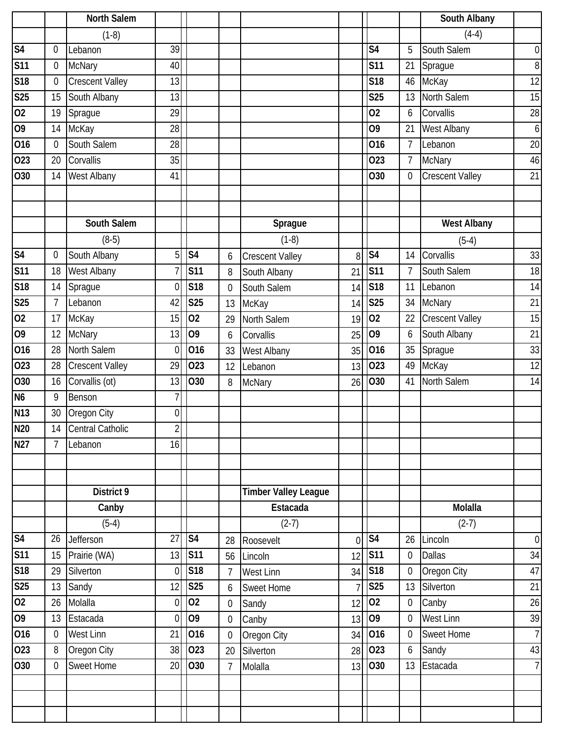|                 |                  | <b>North Salem</b>     |                  |                          |                  |                             |                |                          |                  | South Albany           |                |
|-----------------|------------------|------------------------|------------------|--------------------------|------------------|-----------------------------|----------------|--------------------------|------------------|------------------------|----------------|
|                 |                  | $(1-8)$                |                  |                          |                  |                             |                |                          |                  | $(4-4)$                |                |
| S <sub>4</sub>  | 0                | Lebanon                | $\overline{39}$  |                          |                  |                             |                | S <sub>4</sub>           | 5                | South Salem            | $\overline{0}$ |
| <b>S11</b>      | $\boldsymbol{0}$ | <b>McNary</b>          | 40               |                          |                  |                             |                | <b>S11</b>               | 21               | Sprague                | 8 <sup>1</sup> |
| <b>S18</b>      | 0                | Crescent Valley        | 13               |                          |                  |                             |                | <b>S18</b>               | 46               | McKay                  | 12             |
| <b>S25</b>      | 15               | South Albany           | 13               |                          |                  |                             |                | <b>S25</b>               | 13               | North Salem            | 15             |
| $\overline{02}$ | 19               | Sprague                | 29               |                          |                  |                             |                | 02                       | 6                | Corvallis              | 28             |
| O <sub>9</sub>  | 14               | McKay                  | 28               |                          |                  |                             |                | 09                       | 21               | West Albany            | $6 \mid$       |
| 016             | $\mathbf 0$      | South Salem            | 28               |                          |                  |                             |                | 016                      | $\overline{7}$   | Lebanon                | 20             |
| 023             | 20               | Corvallis              | 35               |                          |                  |                             |                | 023                      | 7                | <b>McNary</b>          | 46             |
| O30             | 14               | <b>West Albany</b>     | 41               |                          |                  |                             |                | O30                      | $\mathbf 0$      | <b>Crescent Valley</b> | 21             |
|                 |                  |                        |                  |                          |                  |                             |                |                          |                  |                        |                |
|                 |                  | South Salem            |                  |                          |                  | Sprague                     |                |                          |                  | <b>West Albany</b>     |                |
|                 |                  | $(8-5)$                |                  |                          |                  | $(1-8)$                     |                |                          |                  | $(5-4)$                |                |
| S <sub>4</sub>  | $\mathbf 0$      | South Albany           | 5                | $\overline{\mathsf{S4}}$ | 6                | <b>Crescent Valley</b>      | 8              | $\overline{\mathsf{S}4}$ | 14               | Corvallis              | 33             |
| <b>S11</b>      | 18               | West Albany            | 7                | <b>S11</b>               | 8                | South Albany                | 21             | <b>S11</b>               | $\overline{7}$   | South Salem            | 18             |
| <b>S18</b>      | 14               | Sprague                | 0                | <b>S18</b>               | $\mathbf 0$      | South Salem                 | 14             | S18                      | 11               | Lebanon                | 14             |
| <b>S25</b>      | $\overline{7}$   | Lebanon                | 42               | <b>S25</b>               | 13               | McKay                       | 14             | <b>S25</b>               | 34               | <b>McNary</b>          | 21             |
| 02              | 17               | McKay                  | 15               | 02                       | 29               | North Salem                 | 19             | 02                       | 22               | <b>Crescent Valley</b> | 15             |
| $\overline{09}$ | 12               | <b>McNary</b>          | 13               | 09                       | 6                | Corvallis                   | 25             | 09                       | 6                | South Albany           | 21             |
| 016             | 28               | North Salem            | 0                | 016                      | 33               | West Albany                 | 35             | 016                      | 35               | Sprague                | 33             |
| 023             | 28               | <b>Crescent Valley</b> | 29               | 023                      | 12               | Lebanon                     | 13             | 023                      | 49               | McKay                  | 12             |
| 030             | 16               | Corvallis (ot)         | 13               | O30                      | 8                | <b>McNary</b>               | 26             | 030                      | 41               | North Salem            | 14             |
| N <sub>6</sub>  | 9                | Benson                 | 7                |                          |                  |                             |                |                          |                  |                        |                |
| <b>N13</b>      | 30               | Oregon City            | $\boldsymbol{0}$ |                          |                  |                             |                |                          |                  |                        |                |
| <b>N20</b>      | 14               | Central Catholic       | $\overline{2}$   |                          |                  |                             |                |                          |                  |                        |                |
| N27             | $\overline{7}$   | Lebanon                | 16               |                          |                  |                             |                |                          |                  |                        |                |
|                 |                  |                        |                  |                          |                  |                             |                |                          |                  |                        |                |
|                 |                  | District 9             |                  |                          |                  | <b>Timber Valley League</b> |                |                          |                  |                        |                |
|                 |                  | Canby                  |                  |                          |                  | Estacada                    |                |                          |                  | Molalla                |                |
|                 |                  | $(5-4)$                |                  |                          |                  | $(2-7)$                     |                |                          |                  | $(2-7)$                |                |
| S <sub>4</sub>  | 26               | Jefferson              | 27               | S <sub>4</sub>           | 28               | Roosevelt                   | $\overline{0}$ | S <sub>4</sub>           | 26               | Lincoln                | $\overline{0}$ |
| <b>S11</b>      | 15               | Prairie (WA)           | 13               | <b>S11</b>               | 56               | Lincoln                     | 12             | S <sub>11</sub>          | $\boldsymbol{0}$ | Dallas                 | 34             |
| S18             | 29               | Silverton              | $\overline{0}$   | S18                      | $\overline{7}$   | <b>West Linn</b>            | 34             | S18                      | $\boldsymbol{0}$ | Oregon City            | 47             |
| <b>S25</b>      | 13               | Sandy                  | 12               | <b>S25</b>               | 6                | <b>Sweet Home</b>           | $\overline{7}$ | S <sub>25</sub>          | 13               | Silverton              | 21             |
| 02              | 26               | Molalla                | $\overline{0}$   | 02                       | $\boldsymbol{0}$ | Sandy                       | 12             | 02                       | $\boldsymbol{0}$ | Canby                  | 26             |
| 09              | 13               | Estacada               | $\overline{0}$   | 09                       | $\mathbf 0$      | Canby                       | 13             | 09                       | $\mathbf 0$      | <b>West Linn</b>       | 39             |
| 016             | $\boldsymbol{0}$ | West Linn              | 21               | 016                      | $\mathbf{0}$     | Oregon City                 | 34             | 016                      | $\boldsymbol{0}$ | <b>Sweet Home</b>      | 7              |
| 023             | 8                | Oregon City            | 38               | 023                      | 20               | Silverton                   | 28             | 023                      | 6                | Sandy                  | 43             |
| O30             | $\mathbf 0$      | <b>Sweet Home</b>      | 20               | O30                      | 7                | Molalla                     | 13             | 030                      | 13               | Estacada               | 7              |
|                 |                  |                        |                  |                          |                  |                             |                |                          |                  |                        |                |
|                 |                  |                        |                  |                          |                  |                             |                |                          |                  |                        |                |
|                 |                  |                        |                  |                          |                  |                             |                |                          |                  |                        |                |
|                 |                  |                        |                  |                          |                  |                             |                |                          |                  |                        |                |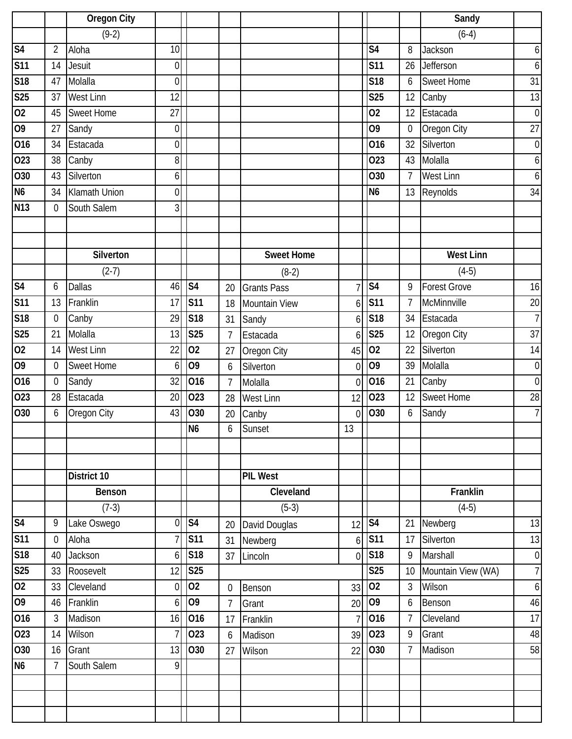|                                      |                  | <b>Oregon City</b> |                  |                        |                |                    |                |                        |                  | Sandy               |                  |
|--------------------------------------|------------------|--------------------|------------------|------------------------|----------------|--------------------|----------------|------------------------|------------------|---------------------|------------------|
|                                      |                  | $(9-2)$            |                  |                        |                |                    |                |                        |                  | $(6-4)$             |                  |
| S <sub>4</sub>                       | $\overline{2}$   | Aloha              | 10               |                        |                |                    |                | S <sub>4</sub>         | 8                | Jackson             | 6                |
| <b>S11</b>                           | 14               | Jesuit             | $\boldsymbol{0}$ |                        |                |                    |                | <b>S11</b>             | 26               | Jefferson           | 6                |
| S18                                  | 47               | Molalla            | $\overline{0}$   |                        |                |                    |                | S <sub>18</sub>        | 6                | <b>Sweet Home</b>   | 31               |
| S <sub>25</sub>                      | 37               | <b>West Linn</b>   | 12               |                        |                |                    |                | <b>S25</b>             | 12               | Canby               | 13               |
| 02                                   | 45               | <b>Sweet Home</b>  | 27               |                        |                |                    |                | 02                     | 12               | Estacada            | $\boldsymbol{0}$ |
| $\overline{60}$                      | 27               | Sandy              | $\mathbf 0$      |                        |                |                    |                | 09                     | $\mathbf 0$      | Oregon City         | 27               |
| 016                                  | 34               | Estacada           | $\boldsymbol{0}$ |                        |                |                    |                | 016                    | 32               | Silverton           | $\boldsymbol{0}$ |
| 023                                  | 38               | Canby              | 8 <sup>1</sup>   |                        |                |                    |                | 023                    | 43               | Molalla             | 6                |
| 030                                  | 43               | Silverton          | 6                |                        |                |                    |                | O30                    | $7\overline{ }$  | <b>West Linn</b>    | 6                |
| N <sub>6</sub>                       | 34               | Klamath Union      | $\overline{0}$   |                        |                |                    |                | N <sub>6</sub>         | 13               | Reynolds            | 34               |
| <b>N13</b>                           | $\mathbf 0$      | South Salem        | 3 <sup>l</sup>   |                        |                |                    |                |                        |                  |                     |                  |
|                                      |                  |                    |                  |                        |                |                    |                |                        |                  |                     |                  |
|                                      |                  | Silverton          |                  |                        |                | <b>Sweet Home</b>  |                |                        |                  | <b>West Linn</b>    |                  |
|                                      |                  | $(2-7)$            |                  |                        |                | $(8-2)$            |                |                        |                  | $(4-5)$             |                  |
| S <sub>4</sub>                       | 6                | <b>Dallas</b>      | 46               | S <sub>4</sub>         | 20             | <b>Grants Pass</b> | 7              | S <sub>4</sub>         | 9                | <b>Forest Grove</b> | 16               |
| <b>S11</b>                           | 13               | Franklin           | 17               | <b>S11</b>             | 18             | Mountain View      | 6              | <b>S11</b>             | $7\overline{ }$  | McMinnville         | 20               |
| $\overline{\overline{\mathsf{S18}}}$ | 0                | Canby              | 29               | <b>S18</b>             | 31             | Sandy              | 6              | S18                    | 34               | Estacada            | $\overline{7}$   |
| S <sub>25</sub>                      | 21               | Molalla            | 13               | <b>S25</b>             | 7              | Estacada           | 6              | <b>S25</b>             | 12               | Oregon City         | 37               |
| $\overline{02}$                      | 14               | <b>West Linn</b>   | 22               | 02                     | 27             | Oregon City        | 45             | 02                     | 22               | Silverton           | 14               |
| 09                                   | $\mathbf 0$      | <b>Sweet Home</b>  | 6                | O <sub>9</sub>         | 6              | Silverton          | $\overline{0}$ | O <sub>9</sub>         | 39               | Molalla             | $\mathbf 0$      |
| 016                                  | $\boldsymbol{0}$ | Sandy              | 32               | 016                    | $\overline{7}$ | Molalla            | $\overline{0}$ | 016                    | 21               | Canby               | $\mathbf 0$      |
| 023                                  | 28               | Estacada           | 20               | 023                    | 28             | <b>West Linn</b>   | 12             | 023                    | 12               | <b>Sweet Home</b>   | 28               |
| 030                                  | 6                | Oregon City        | 43               | O30                    | 20             | Canby              | $\overline{0}$ | 030                    | $\boldsymbol{6}$ | Sandy               | $\overline{7}$   |
|                                      |                  |                    |                  | N <sub>6</sub>         | 6              | Sunset             | 13             |                        |                  |                     |                  |
|                                      |                  |                    |                  |                        |                |                    |                |                        |                  |                     |                  |
|                                      |                  |                    |                  |                        |                |                    |                |                        |                  |                     |                  |
|                                      |                  | District 10        |                  |                        |                | <b>PIL West</b>    |                |                        |                  |                     |                  |
|                                      |                  | Benson             |                  |                        |                | Cleveland          |                |                        |                  | Franklin            |                  |
|                                      |                  | $(7-3)$            |                  |                        |                | $(5-3)$            |                |                        |                  | $(4-5)$             |                  |
| S <sub>4</sub>                       | 9                | Lake Oswego        | $\overline{0}$   | $\overline{\text{S4}}$ | 20             | David Douglas      | 12             | $\overline{\text{S4}}$ | 21               | Newberg             | 13               |
| $\overline{\text{S11}}$              | $\mathbf 0$      | Aloha              | $\overline{7}$   | <b>S11</b>             | 31             | Newberg            | 6              | <b>S11</b>             | 17               | Silverton           | 13               |
| S18                                  | 40               | Jackson            | 6 <sup>1</sup>   | S18                    | 37             | Lincoln            | $\overline{0}$ | S18                    | 9                | Marshall            | $\boldsymbol{0}$ |
| S <sub>25</sub>                      | 33               | Roosevelt          | 12               | <b>S25</b>             |                |                    |                | <b>S25</b>             | 10               | Mountain View (WA)  | $\overline{7}$   |
| 02                                   | 33               | Cleveland          | $\mathbf 0$      | 02                     | $\overline{0}$ | Benson             | 33             | 02                     | $\mathfrak{Z}$   | Wilson              | $\boldsymbol{6}$ |
| 09                                   | 46               | Franklin           | 6                | O <sub>9</sub>         | $\overline{7}$ | Grant              | 20             | 09                     | 6                | Benson              | 46               |
| 016                                  | 3                | Madison            | 16               | 016                    | 17             | Franklin           | $\overline{7}$ | 016                    | $\overline{7}$   | Cleveland           | $\overline{17}$  |
| 023                                  | 14               | Wilson             | $\overline{7}$   | 023                    | 6              | Madison            | 39             | 023                    | 9                | Grant               | 48               |
| 030                                  | 16               | Grant              | 13               | O30                    | 27             | Wilson             | 22             | 030                    | $\overline{7}$   | Madison             | 58               |
| N <sub>6</sub>                       | 7                | South Salem        | 9                |                        |                |                    |                |                        |                  |                     |                  |
|                                      |                  |                    |                  |                        |                |                    |                |                        |                  |                     |                  |
|                                      |                  |                    |                  |                        |                |                    |                |                        |                  |                     |                  |
|                                      |                  |                    |                  |                        |                |                    |                |                        |                  |                     |                  |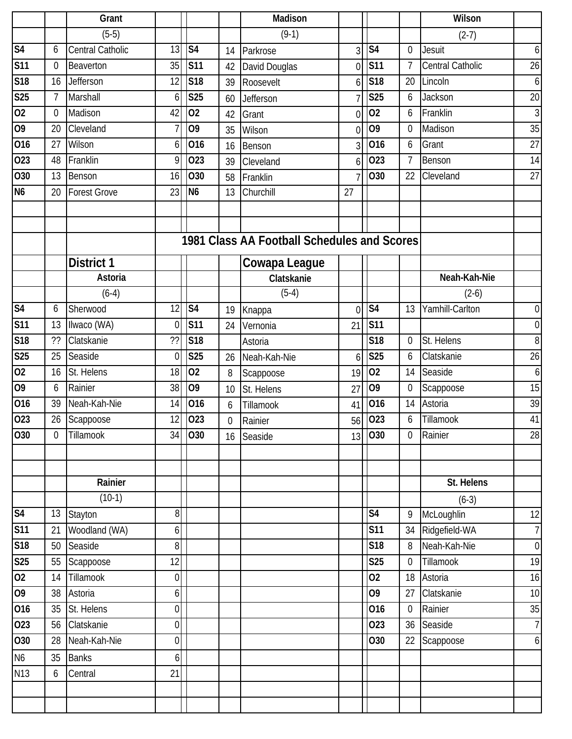|                 |                | Grant               |                  |                          |             | Madison                                     |                |                          |                | Wilson           |                |
|-----------------|----------------|---------------------|------------------|--------------------------|-------------|---------------------------------------------|----------------|--------------------------|----------------|------------------|----------------|
|                 |                | $(5-5)$             |                  |                          |             | $(9-1)$                                     |                |                          |                | $(2-7)$          |                |
| S <sub>4</sub>  | 6              | Central Catholic    | 13               | S <sub>4</sub>           | 14          | Parkrose                                    | $\overline{3}$ | S <sub>4</sub>           | 0              | Jesuit           | $6 \mid$       |
| <b>S11</b>      | $\mathbf 0$    | Beaverton           | 35               | <b>S11</b>               | 42          | David Douglas                               | 0              | <b>S11</b>               | $\overline{7}$ | Central Catholic | 26             |
| <b>S18</b>      | 16             | Jefferson           | 12               | S18                      | 39          | Roosevelt                                   | 6              | <b>S18</b>               | 20             | Lincoln          | $6 \mid$       |
| <b>S25</b>      | $\overline{7}$ | Marshall            | 6                | <b>S25</b>               | 60          | Jefferson                                   |                | <b>S25</b>               | 6              | Jackson          | 20             |
| 02              | $\mathbf 0$    | Madison             | 42               | 02                       | 42          | Grant                                       | $\overline{0}$ | 02                       | 6              | Franklin         | $\overline{3}$ |
| $\overline{09}$ | 20             | Cleveland           | 7                | O <sub>9</sub>           | 35          | Wilson                                      | $\overline{0}$ | O <sub>9</sub>           | $\mathbf 0$    | Madison          | 35             |
| 016             | 27             | Wilson              | 6                | 016                      | 16          | Benson                                      | 3              | 016                      | 6              | Grant            | 27             |
| 023             | 48             | Franklin            | 9                | 023                      | 39          | Cleveland                                   | 6              | 023                      | 7              | Benson           | 14             |
| 030             | 13             | Benson              | 16               | O30                      | 58          | Franklin                                    |                | O30                      | 22             | Cleveland        | 27             |
| N <sub>6</sub>  | 20             | <b>Forest Grove</b> | 23               | N <sub>6</sub>           | 13          | Churchill                                   | 27             |                          |                |                  |                |
|                 |                |                     |                  |                          |             |                                             |                |                          |                |                  |                |
|                 |                |                     |                  |                          |             |                                             |                |                          |                |                  |                |
|                 |                |                     |                  |                          |             | 1981 Class AA Football Schedules and Scores |                |                          |                |                  |                |
|                 |                | <b>District 1</b>   |                  |                          |             | Cowapa League                               |                |                          |                |                  |                |
|                 |                | Astoria             |                  |                          |             | Clatskanie                                  |                |                          |                | Neah-Kah-Nie     |                |
|                 |                | $(6-4)$             |                  |                          |             | $(5-4)$                                     |                |                          |                | $(2-6)$          |                |
| S <sub>4</sub>  | 6              | Sherwood            | 12               | $\overline{\mathsf{S4}}$ | 19          | Knappa                                      | $\Omega$       | $\overline{\mathsf{S}4}$ | 13             | Yamhill-Carlton  | $\overline{0}$ |
| <b>S11</b>      | 13             | Ilwaco (WA)         | $\overline{0}$   | <b>S11</b>               | 24          | Vernonia                                    | 21             | <b>S11</b>               |                |                  | $\overline{0}$ |
| <b>S18</b>      | ??             | Clatskanie          | ??               | <b>S18</b>               |             | Astoria                                     |                | <b>S18</b>               | 0              | St. Helens       | $8\,$          |
| <b>S25</b>      | 25             | Seaside             | $\mathbf 0$      | <b>S25</b>               | 26          | Neah-Kah-Nie                                | 6              | <b>S25</b>               | 6              | Clatskanie       | 26             |
| 02              | 16             | St. Helens          | 18               | 02                       | 8           | Scappoose                                   | 19             | 02                       | 14             | Seaside          | 6              |
| 09              | 6              | Rainier             | 38               | O <sub>9</sub>           | 10          | St. Helens                                  | 27             | 09                       | 0              | Scappoose        | 15             |
| 016             | 39             | Neah-Kah-Nie        | 14               | 016                      | 6           | Tillamook                                   | 41             | 016                      | 14             | Astoria          | 39             |
| 023             | 26             | Scappoose           | 12               | 023                      | $\mathbf 0$ | Rainier                                     | 56             | 023                      | 6              | Tillamook        | 41             |
| 030             | 0              | Tillamook           |                  | 34 030                   | 16          | Seaside                                     |                | 13 030                   | 0              | Rainier          | 28             |
|                 |                |                     |                  |                          |             |                                             |                |                          |                |                  |                |
|                 |                |                     |                  |                          |             |                                             |                |                          |                |                  |                |
|                 |                | Rainier             |                  |                          |             |                                             |                |                          |                | St. Helens       |                |
|                 |                | $(10-1)$            |                  |                          |             |                                             |                |                          |                | $(6-3)$          |                |
| S <sub>4</sub>  | 13             | Stayton             | 8                |                          |             |                                             |                | S <sub>4</sub>           | 9              | McLoughlin       | 12             |
| <b>S11</b>      | 21             | Woodland (WA)       | $\boldsymbol{6}$ |                          |             |                                             |                | <b>S11</b>               | 34             | Ridgefield-WA    | 7              |
| <b>S18</b>      | 50             | Seaside             | $\boldsymbol{8}$ |                          |             |                                             |                | S <sub>18</sub>          | 8              | Neah-Kah-Nie     | $\overline{0}$ |
| <b>S25</b>      | 55             | Scappoose           | 12               |                          |             |                                             |                | <b>S25</b>               | $\overline{0}$ | Tillamook        | 19             |
| 02              | 14             | Tillamook           | $\boldsymbol{0}$ |                          |             |                                             |                | 02                       | 18             | Astoria          | 16             |
| 09              | 38             | Astoria             | $\boldsymbol{6}$ |                          |             |                                             |                | O <sub>9</sub>           | 27             | Clatskanie       | 10             |
| 016             | 35             | St. Helens          | $\boldsymbol{0}$ |                          |             |                                             |                | 016                      | $\overline{0}$ | Rainier          | 35             |
| 023             | 56             | Clatskanie          | $\boldsymbol{0}$ |                          |             |                                             |                | 023                      | 36             | Seaside          | 7              |
| 030             | 28             | Neah-Kah-Nie        | $\overline{0}$   |                          |             |                                             |                | 030                      | 22             | Scappoose        | $6 \mid$       |
| N <sub>6</sub>  | 35             | <b>Banks</b>        | 6                |                          |             |                                             |                |                          |                |                  |                |
| N13             | 6              | Central             | 21               |                          |             |                                             |                |                          |                |                  |                |
|                 |                |                     |                  |                          |             |                                             |                |                          |                |                  |                |
|                 |                |                     |                  |                          |             |                                             |                |                          |                |                  |                |
|                 |                |                     |                  |                          |             |                                             |                |                          |                |                  |                |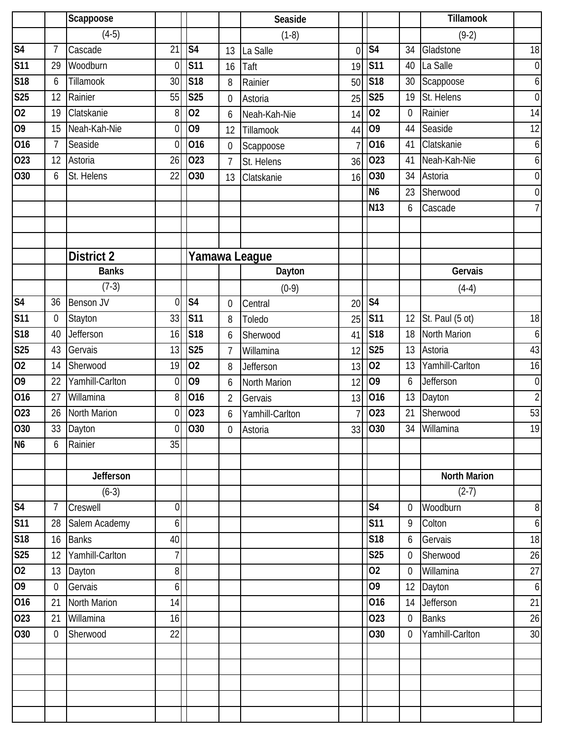|                          |                 | Scappoose         |                  |                            |                  | Seaside         |                |                            |                  | <b>Tillamook</b>    |                |
|--------------------------|-----------------|-------------------|------------------|----------------------------|------------------|-----------------|----------------|----------------------------|------------------|---------------------|----------------|
|                          |                 | $(4-5)$           |                  |                            |                  | $(1-8)$         |                |                            |                  | $(9-2)$             |                |
| S <sub>4</sub>           | $\overline{7}$  | Cascade           | $\overline{21}$  | $\overline{\overline{S4}}$ | 13               | La Salle        | $\overline{0}$ | $\overline{\mathsf{S}4}$   | 34               | Gladstone           | 18             |
| <b>S11</b>               | 29              | Woodburn          | 0                | <b>S11</b>                 | 16               | Taft            | 19             | <b>S11</b>                 | 40               | La Salle            | $\overline{0}$ |
| <b>S18</b>               | 6               | Tillamook         | 30               | S <sub>18</sub>            | 8                | Rainier         | 50             | <b>S18</b>                 | 30               | Scappoose           | 6              |
| <b>S25</b>               | 12              | Rainier           | 55               | <b>S25</b>                 | $\mathbf 0$      | Astoria         | 25             | <b>S25</b>                 | 19               | St. Helens          | $\mathbf 0$    |
| $\overline{02}$          | 19              | Clatskanie        | 8                | 02                         | 6                | Neah-Kah-Nie    | 14             | $\overline{02}$            | $\mathbf 0$      | Rainier             | 14             |
| 09                       | 15              | Neah-Kah-Nie      | $\overline{0}$   | $\overline{09}$            | 12               | Tillamook       | 44             | 09                         | 44               | Seaside             | 12             |
| 016                      | $\overline{7}$  | Seaside           | $\overline{0}$   | 016                        | $\boldsymbol{0}$ | Scappoose       | 7              | 016                        | 41               | Clatskanie          | $6 \mid$       |
| 023                      | 12              | Astoria           | 26               | 023                        | $\overline{7}$   | St. Helens      | 36             | 023                        | 41               | Neah-Kah-Nie        | $6 \mid$       |
| 030                      | 6               | St. Helens        | 22               | O30                        | 13               | Clatskanie      | 16             | 030                        | 34               | Astoria             | $\overline{0}$ |
|                          |                 |                   |                  |                            |                  |                 |                | N <sub>6</sub>             | 23               | Sherwood            | $\overline{0}$ |
|                          |                 |                   |                  |                            |                  |                 |                | N <sub>13</sub>            | 6                | Cascade             | 7 <sup>1</sup> |
|                          |                 |                   |                  |                            |                  |                 |                |                            |                  |                     |                |
|                          |                 | <b>District 2</b> |                  |                            |                  | Yamawa League   |                |                            |                  |                     |                |
|                          |                 | <b>Banks</b>      |                  |                            |                  | Dayton          |                |                            |                  | Gervais             |                |
|                          |                 | $(7-3)$           |                  |                            |                  | $(0-9)$         |                |                            |                  | $(4-4)$             |                |
| $\overline{\mathsf{S4}}$ | 36              | Benson JV         | $\mathbf 0$      | S <sub>4</sub>             | $\mathbf 0$      | Central         | 20             | $\overline{\overline{S4}}$ |                  |                     |                |
| <b>S11</b>               | $\mathbf 0$     | Stayton           | 33               | <b>S11</b>                 | 8                | Toledo          | 25             | <b>S11</b>                 | 12               | St. Paul (5 ot)     | 18             |
| S18                      | 40              | Jefferson         | 16               | $\overline{\text{S}18}$    | 6                | Sherwood        | 41             | $\overline{\text{S}18}$    | 18               | North Marion        | $6 \mid$       |
| <b>S25</b>               | 43              | Gervais           | 13               | <b>S25</b>                 | $\overline{7}$   | Willamina       | 12             | <b>S25</b>                 | 13               | Astoria             | 43             |
| $\overline{02}$          | 14              | Sherwood          | 19               | 02                         | 8                | Jefferson       | 13             | 02                         | 13               | Yamhill-Carlton     | 16             |
| 09                       | 22              | Yamhill-Carlton   | 0                | 09                         | 6                | North Marion    | 12             | 09                         | 6                | <b>Jefferson</b>    | $\overline{0}$ |
| 016                      | 27              | Willamina         | 8                | 016                        | $\overline{2}$   | Gervais         | 13             | 016                        | 13               | Dayton              | $\overline{2}$ |
| 023                      | 26              | North Marion      | $\overline{0}$   | 023                        | 6                | Yamhill-Carlton |                | 023                        | 21               | Sherwood            | 53             |
| 030                      | 33              | Dayton            | $\overline{0}$   | 030                        | $\boldsymbol{0}$ | Astoria         |                | 33 030                     |                  | 34 Willamina        | 19             |
| <b>N6</b>                | 6               | Rainier           | 35               |                            |                  |                 |                |                            |                  |                     |                |
|                          |                 |                   |                  |                            |                  |                 |                |                            |                  |                     |                |
|                          |                 | Jefferson         |                  |                            |                  |                 |                |                            |                  | <b>North Marion</b> |                |
|                          |                 | $(6-3)$           |                  |                            |                  |                 |                |                            |                  | $(2-7)$             |                |
| S <sub>4</sub>           | $7\overline{ }$ | Creswell          | $\boldsymbol{0}$ |                            |                  |                 |                | S <sub>4</sub>             | $\overline{0}$   | Woodburn            | 8 <sup>1</sup> |
| S <sub>11</sub>          | 28              | Salem Academy     | 6                |                            |                  |                 |                | <b>S11</b>                 | 9                | Colton              | $6 \mid$       |
| S18                      | 16              | <b>Banks</b>      | 40               |                            |                  |                 |                | <b>S18</b>                 | 6                | Gervais             | 18             |
| S <sub>25</sub>          | 12              | Yamhill-Carlton   | 7 <sup>1</sup>   |                            |                  |                 |                | <b>S25</b>                 | $\overline{0}$   | Sherwood            | 26             |
| $\overline{0}$           | 13              | Dayton            | $\bf{8}$         |                            |                  |                 |                | 02                         | $\overline{0}$   | Willamina           | 27             |
| 09                       | $\overline{0}$  | Gervais           | $\boldsymbol{6}$ |                            |                  |                 |                | O <sub>9</sub>             | 12               | Dayton              | $6 \mid$       |
| 016                      | 21              | North Marion      | 14               |                            |                  |                 |                | 016                        | 14               | Jefferson           | 21             |
| 023                      | 21              | Willamina         | 16               |                            |                  |                 |                | 023                        | $\boldsymbol{0}$ | <b>Banks</b>        | 26             |
| O30                      | $\overline{0}$  | Sherwood          | 22               |                            |                  |                 |                | 030                        | $\overline{0}$   | Yamhill-Carlton     | 30             |
|                          |                 |                   |                  |                            |                  |                 |                |                            |                  |                     |                |
|                          |                 |                   |                  |                            |                  |                 |                |                            |                  |                     |                |
|                          |                 |                   |                  |                            |                  |                 |                |                            |                  |                     |                |
|                          |                 |                   |                  |                            |                  |                 |                |                            |                  |                     |                |
|                          |                 |                   |                  |                            |                  |                 |                |                            |                  |                     |                |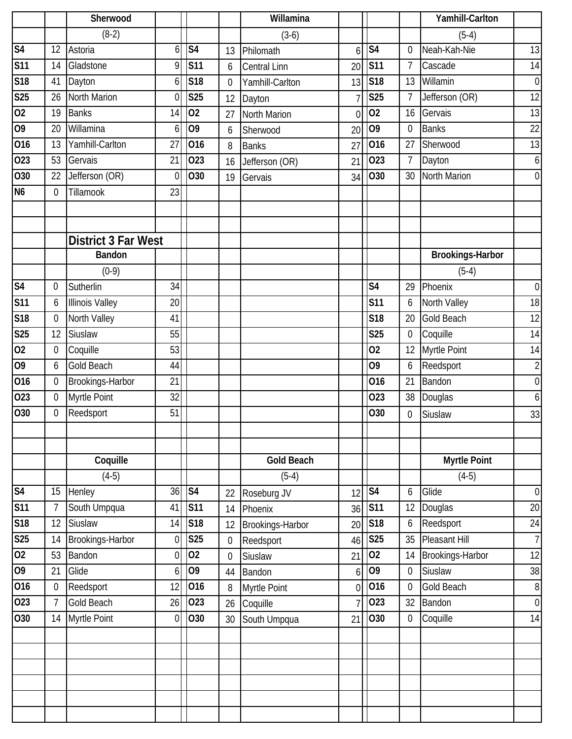|                 |                | Sherwood                   |                  |                |                  | Willamina           |                |                          |                  | Yamhill-Carlton     |                  |
|-----------------|----------------|----------------------------|------------------|----------------|------------------|---------------------|----------------|--------------------------|------------------|---------------------|------------------|
|                 |                | $(8-2)$                    |                  |                |                  | $(3-6)$             |                |                          |                  | $(5-4)$             |                  |
| S <sub>4</sub>  | 12             | Astoria                    | 6                | S <sub>4</sub> | 13               | Philomath           | 6              | $\overline{\mathsf{S}4}$ | 0                | Neah-Kah-Nie        | 13               |
| <b>S11</b>      | 14             | Gladstone                  | 9                | <b>S11</b>     | 6                | <b>Central Linn</b> | 20             | <b>S11</b>               | $\overline{7}$   | Cascade             | 14               |
| S18             | 41             | Dayton                     | 6                | S18            | $\boldsymbol{0}$ | Yamhill-Carlton     | 13             | <b>S18</b>               | 13               | Willamin            | $\overline{0}$   |
| S25             | 26             | North Marion               | $\theta$         | <b>S25</b>     | 12               | Dayton              |                | <b>S25</b>               | $\overline{7}$   | Jefferson (OR)      | 12               |
| $\overline{02}$ | 19             | <b>Banks</b>               | 14               | 02             | 27               | North Marion        | $\overline{0}$ | 02                       | 16               | Gervais             | 13               |
| 09              | 20             | Willamina                  | 6                | O <sub>9</sub> | 6                | Sherwood            | 20             | 09                       | $\mathbf 0$      | <b>Banks</b>        | 22               |
| 016             | 13             | Yamhill-Carlton            | 27               | 016            | 8                | <b>Banks</b>        | 27             | 016                      | 27               | Sherwood            | 13               |
| 023             | 53             | Gervais                    | 21               | 023            | 16               | Jefferson (OR)      | 21             | 023                      | $\overline{7}$   | Dayton              | $6 \mid$         |
| 030             | 22             | Jefferson (OR)             | $\boldsymbol{0}$ | 030            | 19               | Gervais             | 34             | O30                      | 30               | North Marion        | $\overline{0}$   |
| N <sub>6</sub>  | $\mathbf 0$    | Tillamook                  | 23               |                |                  |                     |                |                          |                  |                     |                  |
|                 |                |                            |                  |                |                  |                     |                |                          |                  |                     |                  |
|                 |                |                            |                  |                |                  |                     |                |                          |                  |                     |                  |
|                 |                | <b>District 3 Far West</b> |                  |                |                  |                     |                |                          |                  |                     |                  |
|                 |                | <b>Bandon</b>              |                  |                |                  |                     |                |                          |                  | Brookings-Harbor    |                  |
|                 |                | $(0-9)$                    |                  |                |                  |                     |                |                          |                  | $(5-4)$             |                  |
| S <sub>4</sub>  | $\mathbf 0$    | Sutherlin                  | 34               |                |                  |                     |                | S <sub>4</sub>           | 29               | Phoenix             | $\overline{0}$   |
| S <sub>11</sub> | 6              | <b>Illinois Valley</b>     | 20               |                |                  |                     |                | <b>S11</b>               | 6                | North Valley        | 18               |
| S18             | $\mathbf 0$    | North Valley               | 41               |                |                  |                     |                | <b>S18</b>               | 20               | <b>Gold Beach</b>   | 12               |
| <b>S25</b>      | 12             | Siuslaw                    | 55               |                |                  |                     |                | <b>S25</b>               | $\boldsymbol{0}$ | Coquille            | 14               |
| 02              | 0              | Coquille                   | 53               |                |                  |                     |                | 02                       | 12               | Myrtle Point        | 14               |
| 09              | 6              | <b>Gold Beach</b>          | 44               |                |                  |                     |                | 09                       | $\boldsymbol{6}$ | Reedsport           | $\overline{2}$   |
| 016             | $\mathbf 0$    | Brookings-Harbor           | 21               |                |                  |                     |                | 016                      | 21               | Bandon              | $\overline{0}$   |
| 023             | $\mathbf 0$    | Myrtle Point               | 32               |                |                  |                     |                | 023                      | 38               | Douglas             | $6 \mid$         |
| O30             | 0              | Reedsport                  | 51               |                |                  |                     |                | O30                      | 0                | Siuslaw             | 33               |
|                 |                |                            |                  |                |                  |                     |                |                          |                  |                     |                  |
|                 |                |                            |                  |                |                  |                     |                |                          |                  |                     |                  |
|                 |                | Coquille                   |                  |                |                  | <b>Gold Beach</b>   |                |                          |                  | <b>Myrtle Point</b> |                  |
|                 |                | $(4-5)$                    |                  |                |                  | $(5-4)$             |                |                          |                  | $(4-5)$             |                  |
| S <sub>4</sub>  | 15             | Henley                     | 36               | S <sub>4</sub> | 22               | Roseburg JV         | 12             | S <sub>4</sub>           | 6                | Glide               | $\overline{0}$   |
| <b>S11</b>      | 7              | South Umpqua               | 41               | <b>S11</b>     | 14               | Phoenix             | 36             | <b>S11</b>               | 12               | Douglas             | $20\,$           |
| <b>S18</b>      | 12             | Siuslaw                    | 14               | <b>S18</b>     | 12               | Brookings-Harbor    | 20             | <b>S18</b>               | 6                | Reedsport           | 24               |
| S <sub>25</sub> | 14             | Brookings-Harbor           | 0                | <b>S25</b>     | $\mathbf 0$      | Reedsport           | 46             | <b>S25</b>               | 35               | Pleasant Hill       | 7 <sup>1</sup>   |
| 02              | 53             | Bandon                     | $\overline{0}$   | $ 02\rangle$   | $\mathbf 0$      | Siuslaw             | 21             | $\overline{02}$          | 14               | Brookings-Harbor    | 12               |
| 09              | 21             | Glide                      | 6                | 09             | 44               | Bandon              | 6              | 09                       | 0                | Siuslaw             | 38               |
| 016             | 0              | Reedsport                  | 12               | 016            | 8                | Myrtle Point        | $\overline{0}$ | 016                      | 0                | <b>Gold Beach</b>   | $\boldsymbol{8}$ |
| 023             | $\overline{7}$ | Gold Beach                 | 26               | 023            | 26               | Coquille            |                | 023                      | 32               | Bandon              | $\overline{0}$   |
| O30             | 14             | Myrtle Point               | $\boldsymbol{0}$ | 030            | 30               | South Umpqua        | 21             | O30                      | $\boldsymbol{0}$ | Coquille            | 14               |
|                 |                |                            |                  |                |                  |                     |                |                          |                  |                     |                  |
|                 |                |                            |                  |                |                  |                     |                |                          |                  |                     |                  |
|                 |                |                            |                  |                |                  |                     |                |                          |                  |                     |                  |
|                 |                |                            |                  |                |                  |                     |                |                          |                  |                     |                  |
|                 |                |                            |                  |                |                  |                     |                |                          |                  |                     |                  |
|                 |                |                            |                  |                |                  |                     |                |                          |                  |                     |                  |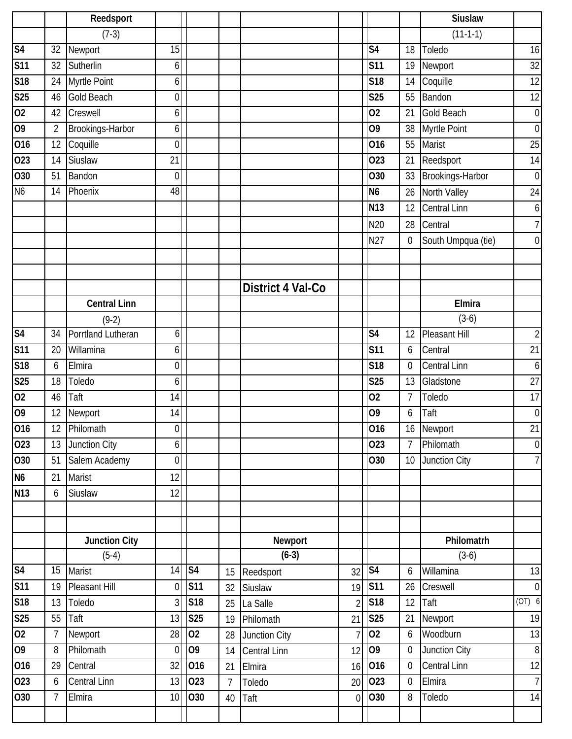|                 |                 | Reedsport            |                  |                |                |                   |                |                        |                  | <b>Siuslaw</b>          |                  |
|-----------------|-----------------|----------------------|------------------|----------------|----------------|-------------------|----------------|------------------------|------------------|-------------------------|------------------|
|                 |                 | $(7-3)$              |                  |                |                |                   |                |                        |                  | $(11-1-1)$              |                  |
| S <sub>4</sub>  | 32              | Newport              | 15               |                |                |                   |                | S <sub>4</sub>         | 18               | Toledo                  | 16               |
| <b>S11</b>      | 32              | Sutherlin            | 6                |                |                |                   |                | <b>S11</b>             | 19               | Newport                 | 32               |
| <b>S18</b>      | 24              | Myrtle Point         | 6                |                |                |                   |                | S <sub>18</sub>        | 14               | Coquille                | 12               |
| <b>S25</b>      | 46              | <b>Gold Beach</b>    | 0                |                |                |                   |                | <b>S25</b>             | 55               | Bandon                  | 12               |
| $\overline{02}$ | 42              | Creswell             | 6                |                |                |                   |                | 02                     | 21               | <b>Gold Beach</b>       | $\boldsymbol{0}$ |
| $\overline{0}$  | $\overline{2}$  | Brookings-Harbor     | 6                |                |                |                   |                | O <sub>9</sub>         | 38               | Myrtle Point            | $\boldsymbol{0}$ |
| 016             | 12              | Coquille             | $\boldsymbol{0}$ |                |                |                   |                | 016                    | 55               | Marist                  | $\overline{25}$  |
| 023             | 14              | Siuslaw              | 21               |                |                |                   |                | 023                    | 21               | Reedsport               | 14               |
| O30             | 51              | Bandon               | $\mathbf 0$      |                |                |                   |                | O30                    | 33               | Brookings-Harbor        | $\mathbf 0$      |
| N <sub>6</sub>  | 14              | Phoenix              | 48               |                |                |                   |                | N <sub>6</sub>         | 26               | North Valley            | 24               |
|                 |                 |                      |                  |                |                |                   |                | N <sub>13</sub>        | 12               | <b>Central Linn</b>     | 6                |
|                 |                 |                      |                  |                |                |                   |                | N20                    | 28               | Central                 | $\overline{7}$   |
|                 |                 |                      |                  |                |                |                   |                | N27                    | $\boldsymbol{0}$ | South Umpqua (tie)      | $\mathbf 0$      |
|                 |                 |                      |                  |                |                |                   |                |                        |                  |                         |                  |
|                 |                 |                      |                  |                |                |                   |                |                        |                  |                         |                  |
|                 |                 |                      |                  |                |                | District 4 Val-Co |                |                        |                  |                         |                  |
|                 |                 | <b>Central Linn</b>  |                  |                |                |                   |                |                        |                  | Elmira                  |                  |
|                 |                 | $(9-2)$              |                  |                |                |                   |                |                        |                  | $(3-6)$                 |                  |
| S <sub>4</sub>  | 34              | Porrtland Lutheran   | 6                |                |                |                   |                | S <sub>4</sub>         | 12               | Pleasant Hill           | $\overline{2}$   |
| S <sub>11</sub> | 20              | Willamina            | 6                |                |                |                   |                | <b>S11</b>             | 6                | Central                 | 21               |
| <b>S18</b>      | 6               | Elmira               | $\mathbf 0$      |                |                |                   |                | S <sub>18</sub>        | $\mathbf 0$      | <b>Central Linn</b>     | 6                |
| <b>S25</b>      | 18              | Toledo               | 6                |                |                |                   |                | <b>S25</b>             | 13               | Gladstone               | $\overline{27}$  |
| 02              | 46              | Taft                 | 14               |                |                |                   |                | 02                     | $\overline{7}$   | Toledo                  | 17               |
| 09              | 12              | Newport              | 14               |                |                |                   |                | O <sub>9</sub>         | 6                | Taft                    | $\boldsymbol{0}$ |
| 016             | 12 <sup>°</sup> | Philomath            | $\overline{0}$   |                |                |                   |                | 016                    |                  | $\overline{16}$ Newport | 21               |
| 023             | 13              | Junction City        | $6 \mid$         |                |                |                   |                | 023                    | $7\overline{ }$  | Philomath               | $\boldsymbol{0}$ |
| 030             | 51              | Salem Academy        | $\overline{0}$   |                |                |                   |                | O30                    | 10               | Junction City           | $\overline{1}$   |
| N <sub>6</sub>  | 21              | Marist               | 12               |                |                |                   |                |                        |                  |                         |                  |
| <b>N13</b>      | 6               | Siuslaw              | 12               |                |                |                   |                |                        |                  |                         |                  |
|                 |                 |                      |                  |                |                |                   |                |                        |                  |                         |                  |
|                 |                 |                      |                  |                |                |                   |                |                        |                  |                         |                  |
|                 |                 | <b>Junction City</b> |                  |                |                | Newport           |                |                        |                  | Philomatrh              |                  |
|                 |                 | $(5-4)$              |                  |                |                | $(6-3)$           |                |                        |                  | $(3-6)$                 |                  |
| S <sub>4</sub>  | 15              | Marist               | 14               | S <sub>4</sub> | 15             | Reedsport         | 32             | $\overline{\text{S4}}$ | 6                | Willamina               | 13               |
| S <sub>11</sub> | 19              | Pleasant Hill        | 0                | <b>S11</b>     | 32             | Siuslaw           | 19             | <b>S11</b>             | 26               | Creswell                | $\boldsymbol{0}$ |
| S18             | 13              | Toledo               | $\overline{3}$   | <b>S18</b>     | 25             | La Salle          | $\overline{2}$ | S18                    | 12               | Taft                    | (OT) 6           |
| <b>S25</b>      | 55              | Taft                 | 13               | <b>S25</b>     | 19             | Philomath         | 21             | S25                    | 21               | Newport                 | 19               |
| 02              | $\overline{7}$  | Newport              | 28               | 02             | 28             | Junction City     | $\overline{7}$ | 02                     | 6                | Woodburn                | 13               |
| 09              | 8               | Philomath            | $\overline{0}$   | O <sub>9</sub> | 14             | Central Linn      | 12             | 09                     | $\boldsymbol{0}$ | Junction City           | $\infty$         |
| 016             | 29              | Central              | 32               | 016            | 21             | Elmira            | 16             | 016                    | $\mathbf 0$      | <b>Central Linn</b>     | 12               |
| 023             | 6               | <b>Central Linn</b>  | 13               | 023            | $\overline{7}$ | Toledo            | 20             | 023                    | $\boldsymbol{0}$ | Elmira                  | $\overline{7}$   |
| 030             | $\overline{7}$  | Elmira               | 10               | 030            | 40             | Taft              | $\mathbf 0$    | 030                    | 8                | Toledo                  | 14               |
|                 |                 |                      |                  |                |                |                   |                |                        |                  |                         |                  |
|                 |                 |                      |                  |                |                |                   |                |                        |                  |                         |                  |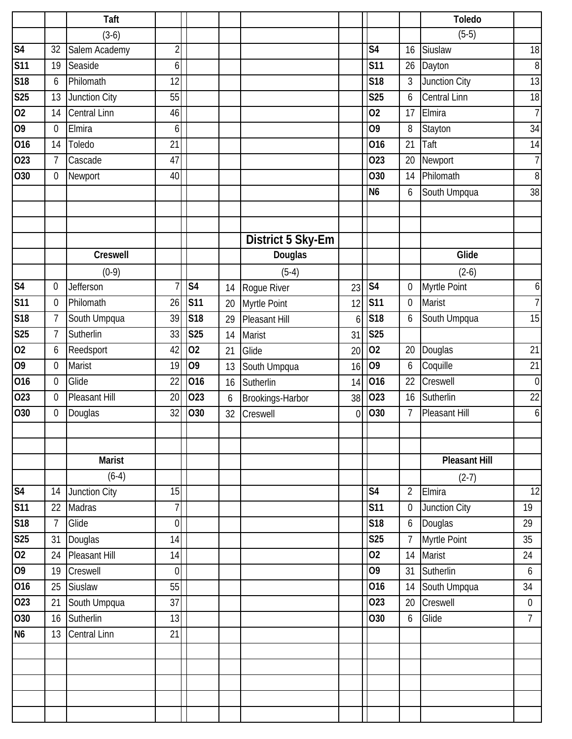|                         |                  | <b>Taft</b>         |                |                 |    |                   |             |                          |                  | <b>Toledo</b>        |                 |
|-------------------------|------------------|---------------------|----------------|-----------------|----|-------------------|-------------|--------------------------|------------------|----------------------|-----------------|
|                         |                  | $(3-6)$             |                |                 |    |                   |             |                          |                  | $(5-5)$              |                 |
| S <sub>4</sub>          | 32               | Salem Academy       | $\overline{2}$ |                 |    |                   |             | $\overline{\mathsf{S4}}$ | 16               | Siuslaw              | 18              |
| <b>S11</b>              | 19               | Seaside             | 6              |                 |    |                   |             | <b>S11</b>               | 26               | Dayton               | 8               |
| S18                     | 6                | Philomath           | 12             |                 |    |                   |             | S <sub>18</sub>          | $\mathfrak{Z}$   | Junction City        | 13              |
| S <sub>25</sub>         | 13               | Junction City       | 55             |                 |    |                   |             | <b>S25</b>               | 6                | <b>Central Linn</b>  | 18              |
| 02                      | 14               | <b>Central Linn</b> | 46             |                 |    |                   |             | 02                       | 17               | Elmira               | $\overline{7}$  |
| $\overline{0}$          | 0                | Elmira              | 6              |                 |    |                   |             | 09                       | 8                | Stayton              | 34              |
| 016                     | 14               | Toledo              | 21             |                 |    |                   |             | 016                      | 21               | Taft                 | 14              |
| 023                     | $\overline{7}$   | Cascade             | 47             |                 |    |                   |             | 023                      | 20               | Newport              | $\overline{1}$  |
| 030                     | $\mathbf 0$      | Newport             | 40             |                 |    |                   |             | O30                      | 14               | Philomath            | 8               |
|                         |                  |                     |                |                 |    |                   |             | N <sub>6</sub>           | 6                | South Umpqua         | 38              |
|                         |                  |                     |                |                 |    |                   |             |                          |                  |                      |                 |
|                         |                  |                     |                |                 |    |                   |             |                          |                  |                      |                 |
|                         |                  |                     |                |                 |    | District 5 Sky-Em |             |                          |                  |                      |                 |
|                         |                  | <b>Creswell</b>     |                |                 |    | Douglas           |             |                          |                  | Glide                |                 |
|                         |                  | $(0-9)$             |                |                 |    | $(5-4)$           |             |                          |                  | $(2-6)$              |                 |
| S <sub>4</sub>          | 0                | Jefferson           | $\overline{7}$ | S <sub>4</sub>  | 14 | Rogue River       | 23          | S <sub>4</sub>           | $\mathbf 0$      | Myrtle Point         | 6               |
| S <sub>11</sub>         | $\mathbf 0$      | Philomath           | 26             | <b>S11</b>      | 20 | Myrtle Point      | 12          | <b>S11</b>               | $\boldsymbol{0}$ | Marist               | $\overline{1}$  |
| S18                     | 7                | South Umpqua        | 39             | S18             | 29 | Pleasant Hill     | 6           | <b>S18</b>               | 6                | South Umpqua         | 15              |
| $\overline{\text{S25}}$ | $\overline{7}$   | Sutherlin           | 33             | <b>S25</b>      | 14 | Marist            | 31          | <b>S25</b>               |                  |                      |                 |
| 02                      | 6                | Reedsport           | 42             | $\overline{02}$ | 21 | Glide             | 20          | $\overline{02}$          | 20               | Douglas              | 21              |
| 09                      | $\mathbf 0$      | Marist              | 19             | 09              | 13 | South Umpqua      | 16          | 09                       | 6                | Coquille             | 21              |
| 016                     | 0                | Glide               | 22             | 016             | 16 | Sutherlin         | 14          | 016                      | 22               | Creswell             | $\mathbf 0$     |
| 023                     | $\boldsymbol{0}$ | Pleasant Hill       | 20             | 023             | 6  | Brookings-Harbor  | 38          | 023                      | 16               | Sutherlin            | 22              |
| 030                     | 0                | Douglas             | 32             | O30             | 32 | Creswell          | $\mathbf 0$ | O30                      | 7                | Pleasant Hill        | 6               |
|                         |                  |                     |                |                 |    |                   |             |                          |                  |                      |                 |
|                         |                  |                     |                |                 |    |                   |             |                          |                  |                      |                 |
|                         |                  | <b>Marist</b>       |                |                 |    |                   |             |                          |                  | <b>Pleasant Hill</b> |                 |
|                         |                  | $(6-4)$             |                |                 |    |                   |             |                          |                  | $(2-7)$              |                 |
| S <sub>4</sub>          | 14               | Junction City       | 15             |                 |    |                   |             | S <sub>4</sub>           | $\overline{2}$   | Elmira               | $\overline{12}$ |
| S <sub>11</sub>         | 22               | Madras              | 7              |                 |    |                   |             | <b>S11</b>               | $\boldsymbol{0}$ | Junction City        | 19              |
| S18                     | $\overline{7}$   | Glide               | $\overline{0}$ |                 |    |                   |             | S <sub>18</sub>          | $\boldsymbol{6}$ | Douglas              | 29              |
| S <sub>25</sub>         | 31               | Douglas             | 14             |                 |    |                   |             | <b>S25</b>               | $\overline{7}$   | Myrtle Point         | 35              |
| 02                      | 24               | Pleasant Hill       | 14             |                 |    |                   |             | 02                       | 14               | Marist               | 24              |
| $\overline{60}$         | 19               | Creswell            | $\mathbf 0$    |                 |    |                   |             | O <sub>9</sub>           | 31               | Sutherlin            | 6               |
| 016                     | 25               | Siuslaw             | 55             |                 |    |                   |             | 016                      | 14               | South Umpqua         | 34              |
| 023                     | 21               | South Umpqua        | 37             |                 |    |                   |             | 023                      | 20               | Creswell             | $\mathbf 0$     |
| $\overline{O}30$        | 16               | Sutherlin           | 13             |                 |    |                   |             | 030                      | $\boldsymbol{6}$ | Glide                | $\overline{7}$  |
| N <sub>6</sub>          | 13               | Central Linn        | 21             |                 |    |                   |             |                          |                  |                      |                 |
|                         |                  |                     |                |                 |    |                   |             |                          |                  |                      |                 |
|                         |                  |                     |                |                 |    |                   |             |                          |                  |                      |                 |
|                         |                  |                     |                |                 |    |                   |             |                          |                  |                      |                 |
|                         |                  |                     |                |                 |    |                   |             |                          |                  |                      |                 |
|                         |                  |                     |                |                 |    |                   |             |                          |                  |                      |                 |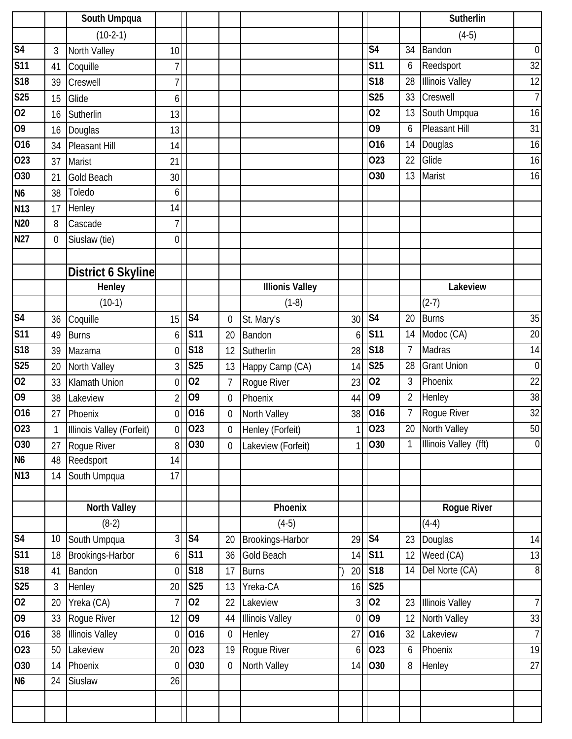|                 |                  | South Umpqua              |                |                |                |                        |                |                 |                | Sutherlin              |                  |
|-----------------|------------------|---------------------------|----------------|----------------|----------------|------------------------|----------------|-----------------|----------------|------------------------|------------------|
|                 |                  | $(10-2-1)$                |                |                |                |                        |                |                 |                | $(4-5)$                |                  |
| S <sub>4</sub>  | 3                | North Valley              | 10             |                |                |                        |                | S <sub>4</sub>  | 34             | Bandon                 | $\boldsymbol{0}$ |
| <b>S11</b>      | 41               | Coquille                  |                |                |                |                        |                | <b>S11</b>      | 6              | Reedsport              | $\overline{32}$  |
| <b>S18</b>      | 39               | Creswell                  | 7              |                |                |                        |                | S <sub>18</sub> | 28             | <b>Illinois Valley</b> | 12               |
| S25             | 15               | Glide                     | 6              |                |                |                        |                | <b>S25</b>      | 33             | Creswell               | $\overline{1}$   |
| $\overline{02}$ | 16               | Sutherlin                 | 13             |                |                |                        |                | 02              | 13             | South Umpqua           | 16               |
| 09              | 16               | Douglas                   | 13             |                |                |                        |                | O <sub>9</sub>  | 6              | <b>Pleasant Hill</b>   | 31               |
| 016             | 34               | <b>Pleasant Hill</b>      | 14             |                |                |                        |                | 016             | 14             | Douglas                | 16               |
| 023             | 37               | Marist                    | 21             |                |                |                        |                | 023             | 22             | Glide                  | 16               |
| 030             | 21               | <b>Gold Beach</b>         | 30             |                |                |                        |                | O30             | 13             | Marist                 | 16               |
| N <sub>6</sub>  | 38               | Toledo                    | 6              |                |                |                        |                |                 |                |                        |                  |
| N13             | 17               | Henley                    | 14             |                |                |                        |                |                 |                |                        |                  |
| N20             | 8                | Cascade                   | 7              |                |                |                        |                |                 |                |                        |                  |
| <b>N27</b>      | $\boldsymbol{0}$ | Siuslaw (tie)             | 0              |                |                |                        |                |                 |                |                        |                  |
|                 |                  |                           |                |                |                |                        |                |                 |                |                        |                  |
|                 |                  | <b>District 6 Skyline</b> |                |                |                |                        |                |                 |                |                        |                  |
|                 |                  | Henley                    |                |                |                | <b>Illionis Valley</b> |                |                 |                | Lakeview               |                  |
|                 |                  | $(10-1)$                  |                |                |                | $(1-8)$                |                |                 |                | $(2-7)$                |                  |
| S <sub>4</sub>  | 36               | Coquille                  | 15             | S <sub>4</sub> | 0              | St. Mary's             | 30             | S <sub>4</sub>  | 20             | <b>Burns</b>           | 35               |
| <b>S11</b>      | 49               | <b>Burns</b>              | 6              | <b>S11</b>     | 20             | Bandon                 | 6              | <b>S11</b>      | 14             | Modoc (CA)             | 20               |
| <b>S18</b>      | 39               | Mazama                    | $\overline{0}$ | <b>S18</b>     | 12             | Sutherlin              | 28             | S18             | 7              | Madras                 | 14               |
| <b>S25</b>      | 20               | North Valley              | 3              | <b>S25</b>     | 13             | Happy Camp (CA)        | 14             | <b>S25</b>      | 28             | <b>Grant Union</b>     | $\overline{0}$   |
| 02              | 33               | Klamath Union             | $\overline{0}$ | 02             | $\overline{1}$ | Rogue River            | 23             | 02              | 3              | Phoenix                | 22               |
| 09              | 38               | Lakeview                  | $\overline{2}$ | 09             | $\mathbf 0$    | Phoenix                | 44             | 09              | $\overline{2}$ | Henley                 | 38               |
| 016             | 27               | Phoenix                   | $\overline{0}$ | 016            | $\mathbf 0$    | North Valley           | 38             | 016             | $\overline{7}$ | Rogue River            | 32               |
| 023             | 1                | Illinois Valley (Forfeit) | 0              | 023            | 0              | Henley (Forfeit)       | 1 <sup>1</sup> | 023             |                | 20 North Valley        | 50               |
| 030             | 27               | Rogue River               | 8              | O30            | 0              | Lakeview (Forfeit)     |                | 030             | $\mathbf{1}$   | Illinois Valley (fft)  | $\overline{0}$   |
| N <sub>6</sub>  | 48               | Reedsport                 | 14             |                |                |                        |                |                 |                |                        |                  |
| N13             | 14               | South Umpqua              | 17             |                |                |                        |                |                 |                |                        |                  |
|                 |                  |                           |                |                |                |                        |                |                 |                |                        |                  |
|                 |                  | <b>North Valley</b>       |                |                |                | Phoenix                |                |                 |                | Rogue River            |                  |
|                 |                  | $(8-2)$                   |                |                |                | $(4-5)$                |                |                 |                | $(4-4)$                |                  |
| S <sub>4</sub>  | 10               | South Umpqua              | 3              | S <sub>4</sub> | 20             | Brookings-Harbor       | 29             | S <sub>4</sub>  | 23             | Douglas                | 14               |
| <b>S11</b>      | 18               | Brookings-Harbor          | $6 \mid$       | <b>S11</b>     | 36             | Gold Beach             | 14             | <b>S11</b>      | 12             | Weed (CA)              | 13               |
| <b>S18</b>      | 41               | Bandon                    | $\overline{0}$ | S18            | 17             | <b>Burns</b>           | 20             | S18             | 14             | Del Norte (CA)         | $\infty$         |
| <b>S25</b>      | $\mathfrak{Z}$   | Henley                    | 20             | <b>S25</b>     | 13             | Yreka-CA               | 16             | <b>S25</b>      |                |                        |                  |
| 02              | 20               | Yreka (CA)                |                | 02             | 22             | Lakeview               | $\overline{3}$ | 02              | 23             | <b>Illinois Valley</b> | $\overline{7}$   |
| 09              | 33               | Rogue River               | 12             | 09             | 44             | <b>Illinois Valley</b> | $\overline{0}$ | 09              | 12             | North Valley           | 33               |
| 016             | 38               | <b>Illinois Valley</b>    | $\overline{0}$ | 016            | $\mathbf 0$    | Henley                 | 27             | 016             | 32             | Lakeview               | $\overline{7}$   |
| 023             | 50               | Lakeview                  | 20             | 023            | 19             | Rogue River            | 6              | 023             | 6              | Phoenix                | 19               |
| O30             | 14               | Phoenix                   | $\overline{0}$ | O30            | $\overline{0}$ | North Valley           | 14             | 030             | 8              | Henley                 | 27               |
| N <sub>6</sub>  | 24               | Siuslaw                   | 26             |                |                |                        |                |                 |                |                        |                  |
|                 |                  |                           |                |                |                |                        |                |                 |                |                        |                  |
|                 |                  |                           |                |                |                |                        |                |                 |                |                        |                  |
|                 |                  |                           |                |                |                |                        |                |                 |                |                        |                  |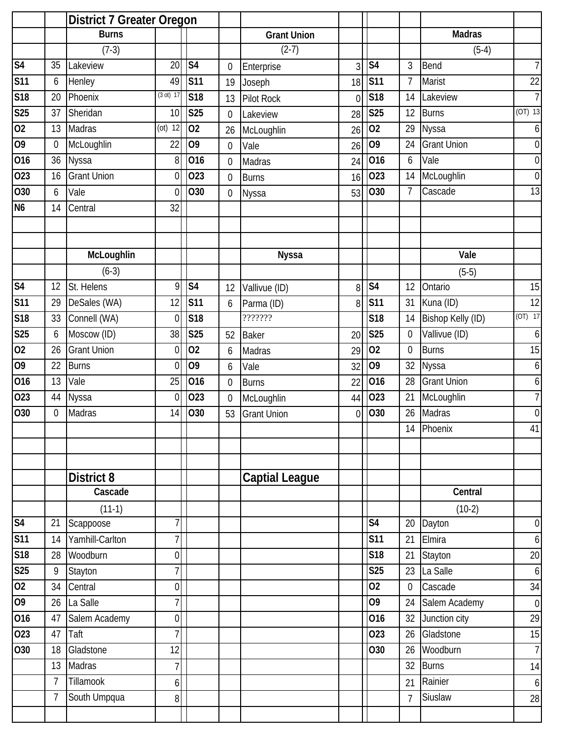|                          |                | <b>District 7 Greater Oregon</b> |                  |                 |                  |                       |          |                         |                  |                    |                  |
|--------------------------|----------------|----------------------------------|------------------|-----------------|------------------|-----------------------|----------|-------------------------|------------------|--------------------|------------------|
|                          |                | <b>Burns</b>                     |                  |                 |                  | <b>Grant Union</b>    |          |                         |                  | <b>Madras</b>      |                  |
|                          |                | $(7-3)$                          |                  |                 |                  | $(2-7)$               |          |                         |                  | $(5-4)$            |                  |
| S <sub>4</sub>           | 35             | Lakeview                         | 20               | S <sub>4</sub>  | 0                | Enterprise            | 3        | S <sub>4</sub>          | 3                | Bend               | 7                |
| <b>S11</b>               | 6              | Henley                           | 49               | <b>S11</b>      | 19               | Joseph                | 18       | <b>S11</b>              | 7                | Marist             | 22               |
| S18                      | 20             | Phoenix                          | (3 ot) 17        | S <sub>18</sub> | 13               | <b>Pilot Rock</b>     | $\Omega$ | <b>S18</b>              | 14               | Lakeview           | $\overline{7}$   |
| $\overline{\text{S25}}$  | 37             | Sheridan                         | 10               | <b>S25</b>      | 0                | Lakeview              | 28       | S <sub>25</sub>         | 12               | <b>Burns</b>       | $(OT)$ 13        |
| 02                       | 13             | Madras                           | $(ot)$ 12        | 02              | 26               | McLoughlin            | 26       | 02                      | 29               | <b>Nyssa</b>       | $6 \mid$         |
| $\overline{0}$           | 0              | McLoughlin                       | 22               | O <sub>9</sub>  | $\boldsymbol{0}$ | Vale                  | 26       | 09                      | 24               | <b>Grant Union</b> | $\overline{0}$   |
| 016                      | 36             | Nyssa                            | 8                | 016             | $\mathbf 0$      | Madras                | 24       | 016                     | 6                | Vale               | $\overline{0}$   |
| 023                      | 16             | <b>Grant Union</b>               | 0                | 023             | 0                | <b>Burns</b>          | 16       | 023                     | 14               | McLoughlin         | $\overline{0}$   |
| 030                      | 6              | Vale                             | $\overline{0}$   | O30             | 0                | Nyssa                 | 53       | O30                     | $\overline{7}$   | Cascade            | 13               |
| N <sub>6</sub>           | 14             | Central                          | 32               |                 |                  |                       |          |                         |                  |                    |                  |
|                          |                |                                  |                  |                 |                  |                       |          |                         |                  |                    |                  |
|                          |                | McLoughlin                       |                  |                 |                  | <b>Nyssa</b>          |          |                         |                  | Vale               |                  |
|                          |                | $(6-3)$                          |                  |                 |                  |                       |          |                         |                  | $(5-5)$            |                  |
| S <sub>4</sub>           | 12             | St. Helens                       | 9                | S <sub>4</sub>  | 12               | Vallivue (ID)         | 8        | S <sub>4</sub>          | 12               | Ontario            | 15               |
| S <sub>11</sub>          | 29             | DeSales (WA)                     | 12               | <b>S11</b>      | 6                | Parma (ID)            | 8        | <b>S11</b>              | 31               | Kuna (ID)          | 12               |
| $\overline{\text{S}}$ 18 | 33             | Connell (WA)                     | $\overline{0}$   | <b>S18</b>      |                  | ???????               |          | <b>S18</b>              | 14               | Bishop Kelly (ID)  | $(OT)$ 17        |
| <b>S25</b>               | 6              | Moscow (ID)                      | 38               | <b>S25</b>      | 52               | <b>Baker</b>          | 20       | <b>S25</b>              | $\boldsymbol{0}$ | Vallivue (ID)      | $6 \mid$         |
| 02                       | 26             | <b>Grant Union</b>               | 0                | 02              | 6                | Madras                | 29       | 02                      | $\mathbf 0$      | <b>Burns</b>       | 15               |
| $\overline{0}$           | 22             | <b>Burns</b>                     | $\overline{0}$   | O <sub>9</sub>  | 6                | Vale                  | 32       | 09                      | 32               | <b>Nyssa</b>       | $6 \mid$         |
| 016                      | 13             | Vale                             | 25               | 016             | 0                | <b>Burns</b>          | 22       | 016                     | 28               | <b>Grant Union</b> | $6 \mid$         |
| $\overline{O2}3$         | 44             | <b>Nyssa</b>                     | $\overline{0}$   | 023             | 0                | McLoughlin            | 44       | 023                     | 21               | McLoughlin         | $\overline{I}$   |
| 030                      | 0              | Madras                           | 14               | O30             | 53               | <b>Grant Union</b>    | $\Omega$ | 030                     | 26               | Madras             | $\overline{0}$   |
|                          |                |                                  |                  |                 |                  |                       |          |                         | 14               | Phoenix            | 41               |
|                          |                |                                  |                  |                 |                  |                       |          |                         |                  |                    |                  |
|                          |                |                                  |                  |                 |                  |                       |          |                         |                  |                    |                  |
|                          |                | <b>District 8</b>                |                  |                 |                  | <b>Captial League</b> |          |                         |                  |                    |                  |
|                          |                | Cascade                          |                  |                 |                  |                       |          |                         |                  | Central            |                  |
|                          |                | $(11-1)$                         |                  |                 |                  |                       |          |                         |                  | $(10-2)$           |                  |
| S <sub>4</sub>           | 21             | Scappoose                        | 7                |                 |                  |                       |          | S <sub>4</sub>          | 20               | Dayton             | $\boldsymbol{0}$ |
| S <sub>11</sub>          | 14             | Yamhill-Carlton                  | $\overline{7}$   |                 |                  |                       |          | <b>S11</b>              | 21               | Elmira             | 6 <sup>1</sup>   |
| S18                      | 28             | Woodburn                         | $\mathbf 0$      |                 |                  |                       |          | $\overline{\text{S}18}$ | 21               | Stayton            | 20               |
| S <sub>25</sub>          | 9              | Stayton                          | 7                |                 |                  |                       |          | <b>S25</b>              | 23               | La Salle           | $6 \mid$         |
| 02                       | 34             | Central                          | $\mathbf 0$      |                 |                  |                       |          | 02                      | $\boldsymbol{0}$ | Cascade            | 34               |
| 09                       | 26             | La Salle                         | 7                |                 |                  |                       |          | 09                      | 24               | Salem Academy      | $\overline{0}$   |
| 016                      | 47             | Salem Academy                    | $\boldsymbol{0}$ |                 |                  |                       |          | 016                     | 32               | Junction city      | 29               |
| $\overline{O2}3$         | 47             | Taft                             | 7                |                 |                  |                       |          | 023                     | 26               | Gladstone          | 15               |
| O30                      | 18             | Gladstone                        | 12               |                 |                  |                       |          | O30                     | 26               | Woodburn           | 7                |
|                          | 13             | Madras                           | $\overline{7}$   |                 |                  |                       |          |                         | 32               | <b>Burns</b>       | 14               |
|                          | $\overline{7}$ | Tillamook                        | 6                |                 |                  |                       |          |                         | 21               | Rainier            | $6 \mid$         |
|                          | 7              | South Umpqua                     | 8                |                 |                  |                       |          |                         | $\overline{7}$   | Siuslaw            | 28               |
|                          |                |                                  |                  |                 |                  |                       |          |                         |                  |                    |                  |